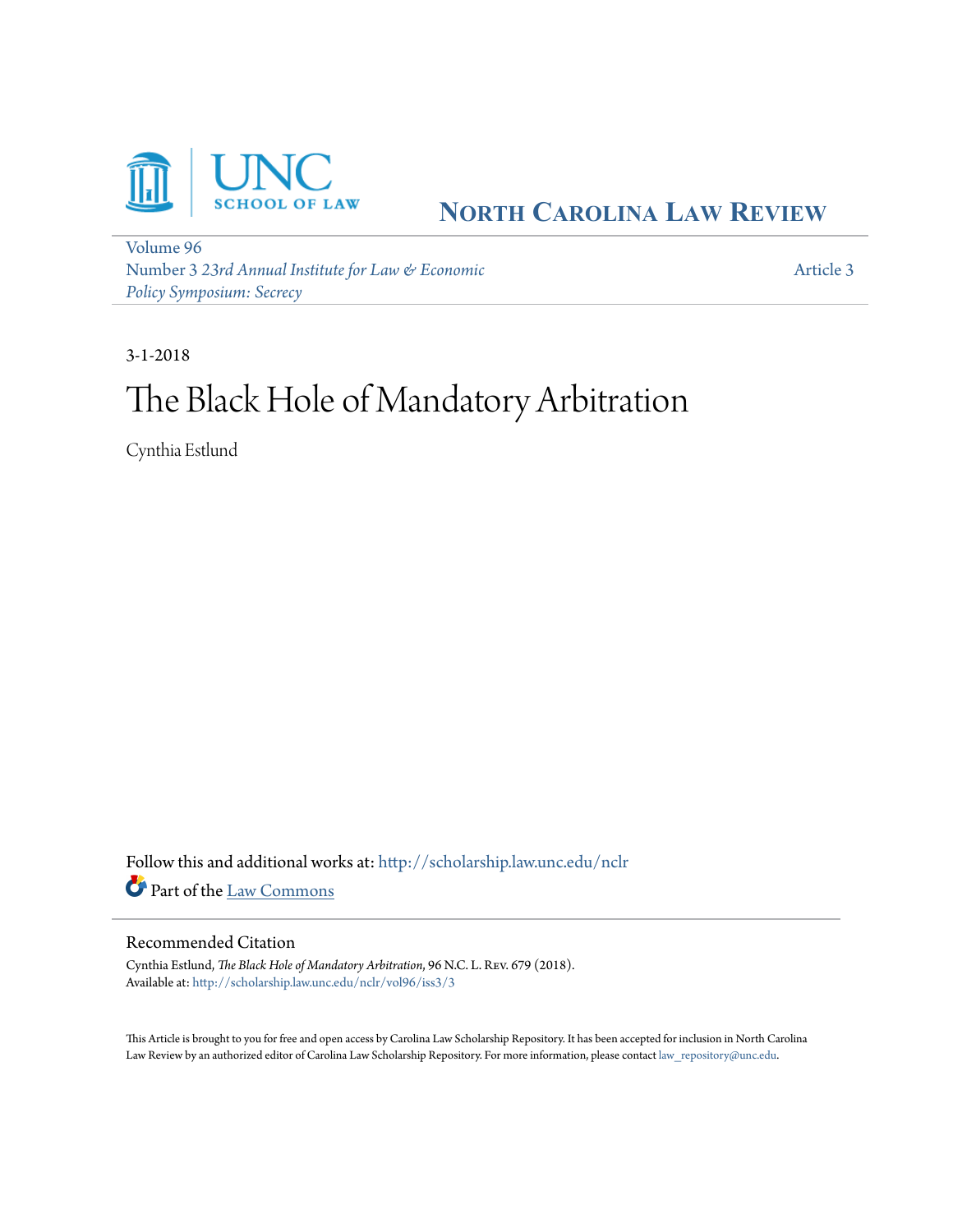

## **NORTH C[AROLINA](http://scholarship.law.unc.edu/nclr?utm_source=scholarship.law.unc.edu%2Fnclr%2Fvol96%2Fiss3%2F3&utm_medium=PDF&utm_campaign=PDFCoverPages) LAW REVIEW**

[Volume 96](http://scholarship.law.unc.edu/nclr/vol96?utm_source=scholarship.law.unc.edu%2Fnclr%2Fvol96%2Fiss3%2F3&utm_medium=PDF&utm_campaign=PDFCoverPages) Number 3 *[23rd Annual Institute for Law & Economic](http://scholarship.law.unc.edu/nclr/vol96/iss3?utm_source=scholarship.law.unc.edu%2Fnclr%2Fvol96%2Fiss3%2F3&utm_medium=PDF&utm_campaign=PDFCoverPages) [Policy Symposium: Secrecy](http://scholarship.law.unc.edu/nclr/vol96/iss3?utm_source=scholarship.law.unc.edu%2Fnclr%2Fvol96%2Fiss3%2F3&utm_medium=PDF&utm_campaign=PDFCoverPages)*

[Article 3](http://scholarship.law.unc.edu/nclr/vol96/iss3/3?utm_source=scholarship.law.unc.edu%2Fnclr%2Fvol96%2Fiss3%2F3&utm_medium=PDF&utm_campaign=PDFCoverPages)

3-1-2018

# The Black Hole of Mandatory Arbitration

Cynthia Estlund

Follow this and additional works at: [http://scholarship.law.unc.edu/nclr](http://scholarship.law.unc.edu/nclr?utm_source=scholarship.law.unc.edu%2Fnclr%2Fvol96%2Fiss3%2F3&utm_medium=PDF&utm_campaign=PDFCoverPages) Part of the [Law Commons](http://network.bepress.com/hgg/discipline/578?utm_source=scholarship.law.unc.edu%2Fnclr%2Fvol96%2Fiss3%2F3&utm_medium=PDF&utm_campaign=PDFCoverPages)

#### Recommended Citation

Cynthia Estlund, *The Black Hole of Mandatory Arbitration*, 96 N.C. L. Rev. 679 (2018). Available at: [http://scholarship.law.unc.edu/nclr/vol96/iss3/3](http://scholarship.law.unc.edu/nclr/vol96/iss3/3?utm_source=scholarship.law.unc.edu%2Fnclr%2Fvol96%2Fiss3%2F3&utm_medium=PDF&utm_campaign=PDFCoverPages)

This Article is brought to you for free and open access by Carolina Law Scholarship Repository. It has been accepted for inclusion in North Carolina Law Review by an authorized editor of Carolina Law Scholarship Repository. For more information, please contact [law\\_repository@unc.edu](mailto:law_repository@unc.edu).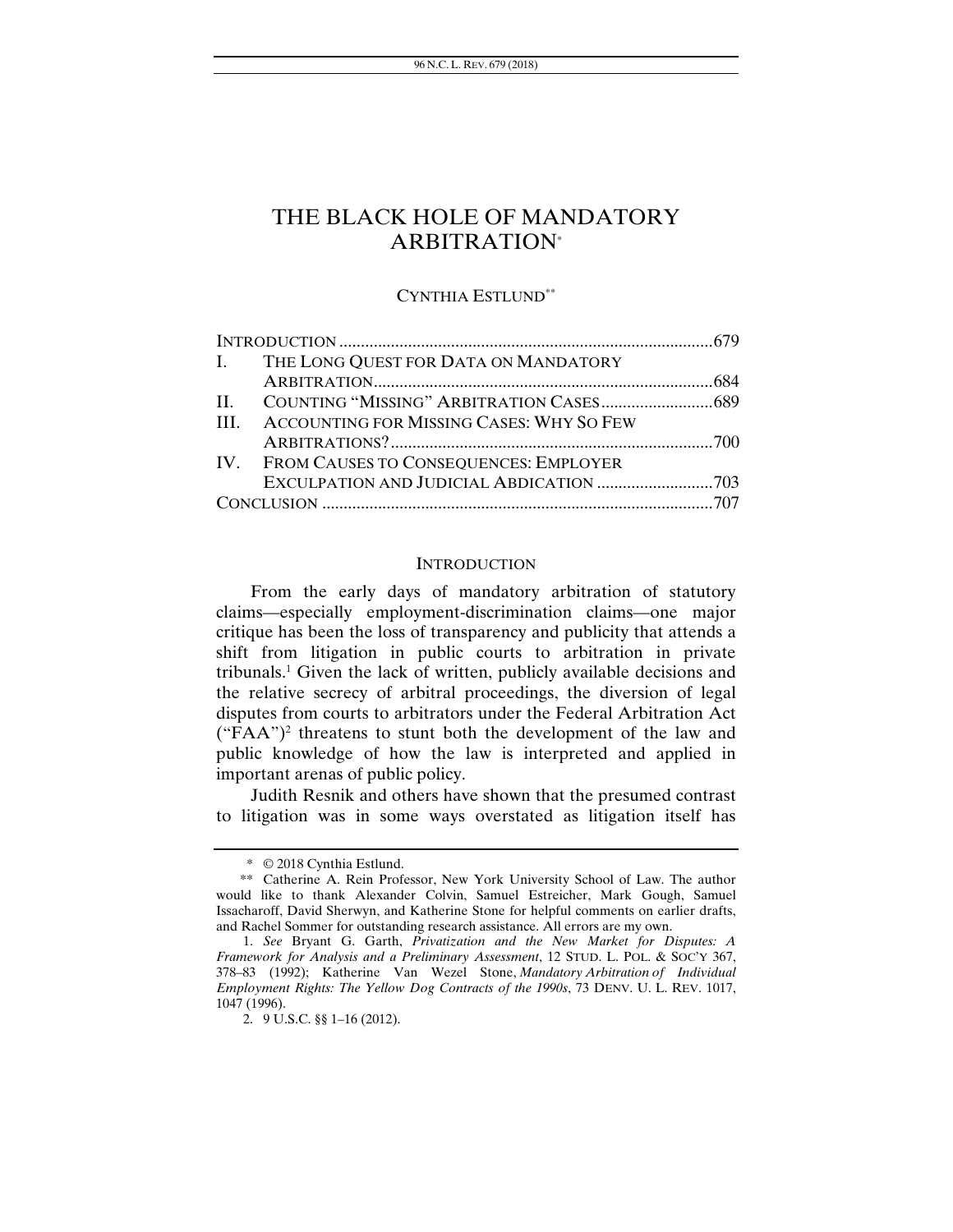## THE BLACK HOLE OF MANDATORY ARBITRATION\*

#### CYNTHIA ESTLUND\*\*

| I. THE LONG QUEST FOR DATA ON MANDATORY       |  |
|-----------------------------------------------|--|
|                                               |  |
|                                               |  |
| III. ACCOUNTING FOR MISSING CASES: WHY SO FEW |  |
|                                               |  |
| IV. FROM CAUSES TO CONSEQUENCES: EMPLOYER     |  |
|                                               |  |
|                                               |  |

#### **INTRODUCTION**

From the early days of mandatory arbitration of statutory claims—especially employment-discrimination claims—one major critique has been the loss of transparency and publicity that attends a shift from litigation in public courts to arbitration in private tribunals.<sup>1</sup> Given the lack of written, publicly available decisions and the relative secrecy of arbitral proceedings, the diversion of legal disputes from courts to arbitrators under the Federal Arbitration Act  $("FAA")^2$  threatens to stunt both the development of the law and public knowledge of how the law is interpreted and applied in important arenas of public policy.

Judith Resnik and others have shown that the presumed contrast to litigation was in some ways overstated as litigation itself has

<sup>\* © 2018</sup> Cynthia Estlund.

<sup>\*\*</sup> Catherine A. Rein Professor, New York University School of Law. The author would like to thank Alexander Colvin, Samuel Estreicher, Mark Gough, Samuel Issacharoff, David Sherwyn, and Katherine Stone for helpful comments on earlier drafts, and Rachel Sommer for outstanding research assistance. All errors are my own.

<sup>1.</sup> *See* Bryant G. Garth, *Privatization and the New Market for Disputes: A Framework for Analysis and a Preliminary Assessment*, 12 STUD. L. POL. & SOC'Y 367, 378–83 (1992); Katherine Van Wezel Stone, *Mandatory Arbitration of Individual Employment Rights: The Yellow Dog Contracts of the 1990s*, 73 DENV. U. L. REV. 1017, 1047 (1996).

 <sup>2. 9</sup> U.S.C. §§ 1–16 (2012).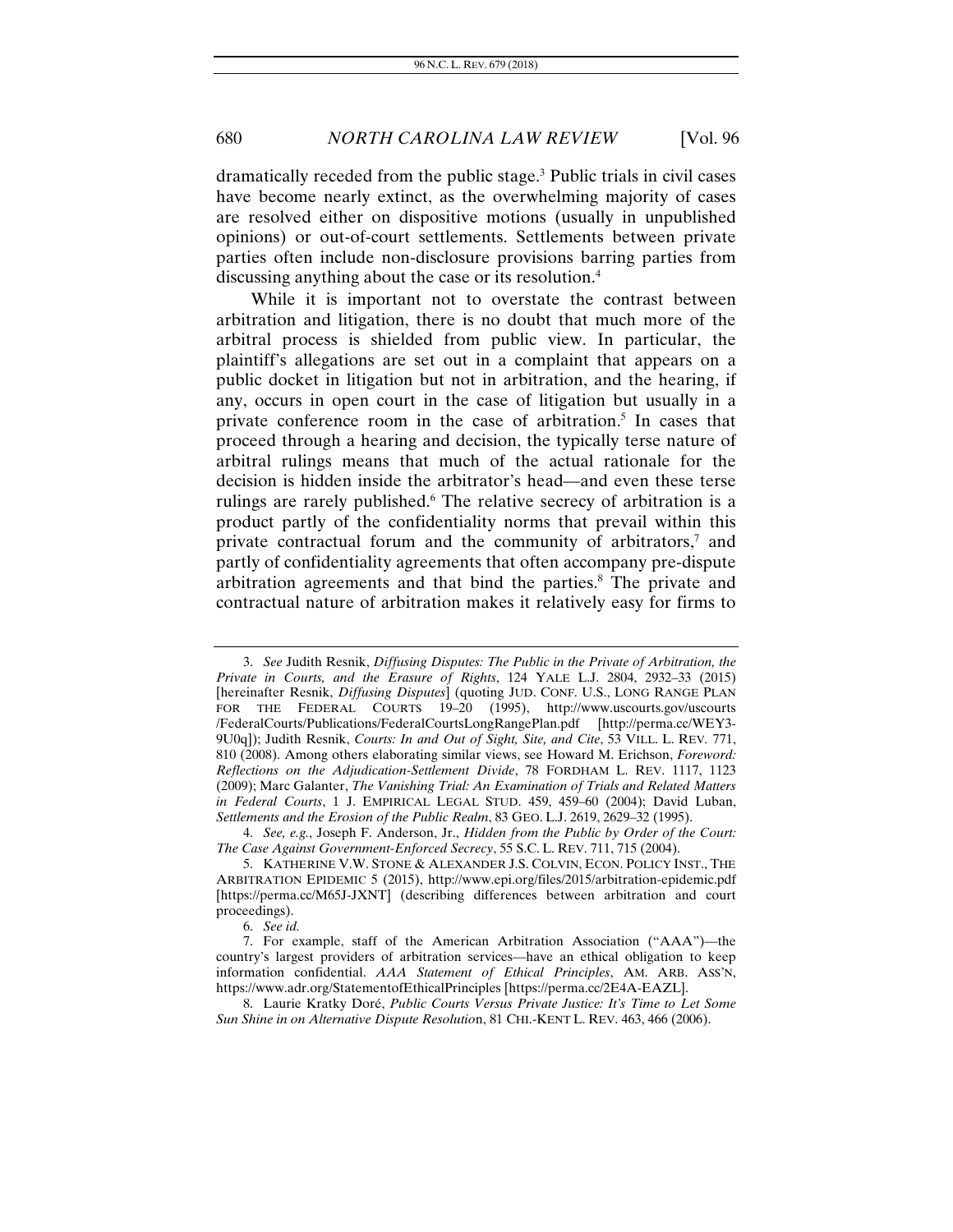dramatically receded from the public stage.3 Public trials in civil cases have become nearly extinct, as the overwhelming majority of cases are resolved either on dispositive motions (usually in unpublished opinions) or out-of-court settlements. Settlements between private parties often include non-disclosure provisions barring parties from discussing anything about the case or its resolution.4

While it is important not to overstate the contrast between arbitration and litigation, there is no doubt that much more of the arbitral process is shielded from public view. In particular, the plaintiff's allegations are set out in a complaint that appears on a public docket in litigation but not in arbitration, and the hearing, if any, occurs in open court in the case of litigation but usually in a private conference room in the case of arbitration.<sup>5</sup> In cases that proceed through a hearing and decision, the typically terse nature of arbitral rulings means that much of the actual rationale for the decision is hidden inside the arbitrator's head—and even these terse rulings are rarely published.<sup>6</sup> The relative secrecy of arbitration is a product partly of the confidentiality norms that prevail within this private contractual forum and the community of arbitrators, $\alpha$  and partly of confidentiality agreements that often accompany pre-dispute arbitration agreements and that bind the parties.<sup>8</sup> The private and contractual nature of arbitration makes it relatively easy for firms to

<sup>3.</sup> *See* Judith Resnik, *Diffusing Disputes: The Public in the Private of Arbitration, the Private in Courts, and the Erasure of Rights*, 124 YALE L.J. 2804, 2932–33 (2015) [hereinafter Resnik, *Diffusing Disputes*] (quoting JUD. CONF. U.S., LONG RANGE PLAN FOR THE FEDERAL COURTS 19-20 (1995), http://www.uscourts.gov/uscourts /FederalCourts/Publications/FederalCourtsLongRangePlan.pdf [http://perma.cc/WEY3- 9U0q]); Judith Resnik, *Courts: In and Out of Sight, Site, and Cite*, 53 VILL. L. REV*.* 771, 810 (2008). Among others elaborating similar views, see Howard M. Erichson, *Foreword: Reflections on the Adjudication-Settlement Divide*, 78 FORDHAM L. REV. 1117, 1123 (2009); Marc Galanter, *The Vanishing Trial: An Examination of Trials and Related Matters in Federal Courts*, 1 J. EMPIRICAL LEGAL STUD. 459, 459–60 (2004); David Luban, *Settlements and the Erosion of the Public Realm*, 83 GEO. L.J. 2619, 2629–32 (1995).

<sup>4.</sup> *See, e.g.*, Joseph F. Anderson, Jr., *Hidden from the Public by Order of the Court: The Case Against Government-Enforced Secrecy*, 55 S.C. L. REV. 711, 715 (2004).

 <sup>5.</sup> KATHERINE V.W. STONE & ALEXANDER J.S. COLVIN, ECON. POLICY INST., THE ARBITRATION EPIDEMIC 5 (2015), http://www.epi.org/files/2015/arbitration-epidemic.pdf [https://perma.cc/M65J-JXNT] (describing differences between arbitration and court proceedings).

<sup>6.</sup> *See id.*

 <sup>7.</sup> For example, staff of the American Arbitration Association ("AAA")—the country's largest providers of arbitration services—have an ethical obligation to keep information confidential. *AAA Statement of Ethical Principles*, AM. ARB. ASS'N, https://www.adr.org/StatementofEthicalPrinciples [https://perma.cc/2E4A-EAZL].

 <sup>8.</sup> Laurie Kratky Doré, *Public Courts Versus Private Justice: It's Time to Let Some Sun Shine in on Alternative Dispute Resolutio*n, 81 CHI.-KENT L. REV. 463, 466 (2006).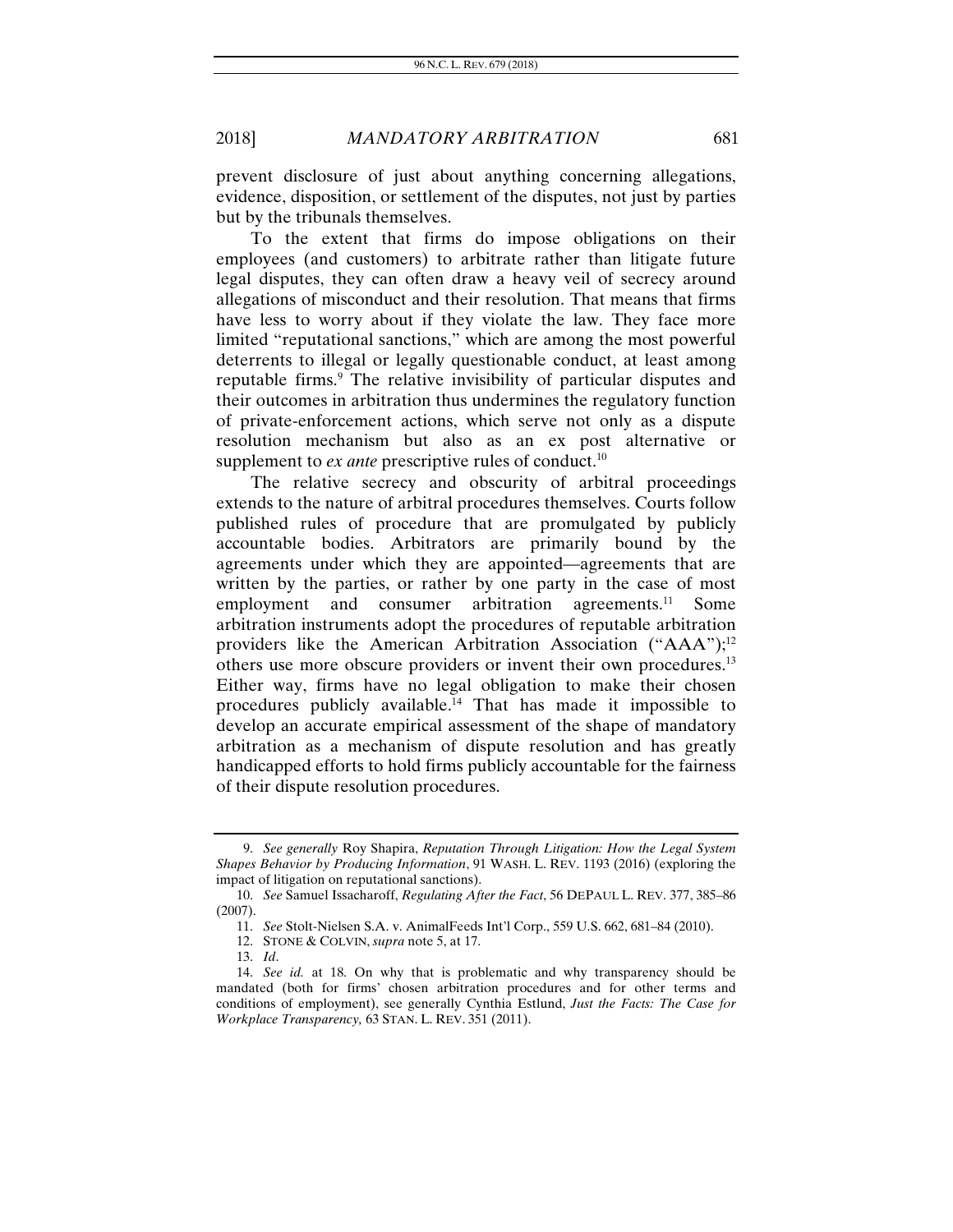prevent disclosure of just about anything concerning allegations, evidence, disposition, or settlement of the disputes, not just by parties but by the tribunals themselves.

To the extent that firms do impose obligations on their employees (and customers) to arbitrate rather than litigate future legal disputes, they can often draw a heavy veil of secrecy around allegations of misconduct and their resolution. That means that firms have less to worry about if they violate the law. They face more limited "reputational sanctions," which are among the most powerful deterrents to illegal or legally questionable conduct, at least among reputable firms.<sup>9</sup> The relative invisibility of particular disputes and their outcomes in arbitration thus undermines the regulatory function of private-enforcement actions, which serve not only as a dispute resolution mechanism but also as an ex post alternative or supplement to *ex ante* prescriptive rules of conduct.<sup>10</sup>

The relative secrecy and obscurity of arbitral proceedings extends to the nature of arbitral procedures themselves. Courts follow published rules of procedure that are promulgated by publicly accountable bodies. Arbitrators are primarily bound by the agreements under which they are appointed—agreements that are written by the parties, or rather by one party in the case of most<br>employment and consumer arbitration agreements.<sup>11</sup> Some employment and consumer arbitration agreements. $^{11}$ arbitration instruments adopt the procedures of reputable arbitration providers like the American Arbitration Association  $("AAA")$ ;<sup>12</sup> others use more obscure providers or invent their own procedures.13 Either way, firms have no legal obligation to make their chosen procedures publicly available.14 That has made it impossible to develop an accurate empirical assessment of the shape of mandatory arbitration as a mechanism of dispute resolution and has greatly handicapped efforts to hold firms publicly accountable for the fairness of their dispute resolution procedures.

 <sup>9.</sup> *See generally* Roy Shapira, *Reputation Through Litigation: How the Legal System Shapes Behavior by Producing Information*, 91 WASH. L. REV. 1193 (2016) (exploring the impact of litigation on reputational sanctions).

<sup>10.</sup> *See* Samuel Issacharoff, *Regulating After the Fact*, 56 DEPAUL L. REV. 377, 385–86 (2007).

<sup>11.</sup> *See* Stolt-Nielsen S.A. v. AnimalFeeds Int'l Corp., 559 U.S. 662, 681–84 (2010).

 <sup>12.</sup> STONE & COLVIN, *supra* note 5, at 17.

<sup>13.</sup> *Id*.

<sup>14.</sup> *See id.* at 18. On why that is problematic and why transparency should be mandated (both for firms' chosen arbitration procedures and for other terms and conditions of employment), see generally Cynthia Estlund, *Just the Facts: The Case for Workplace Transparency,* 63 STAN. L. REV. 351 (2011).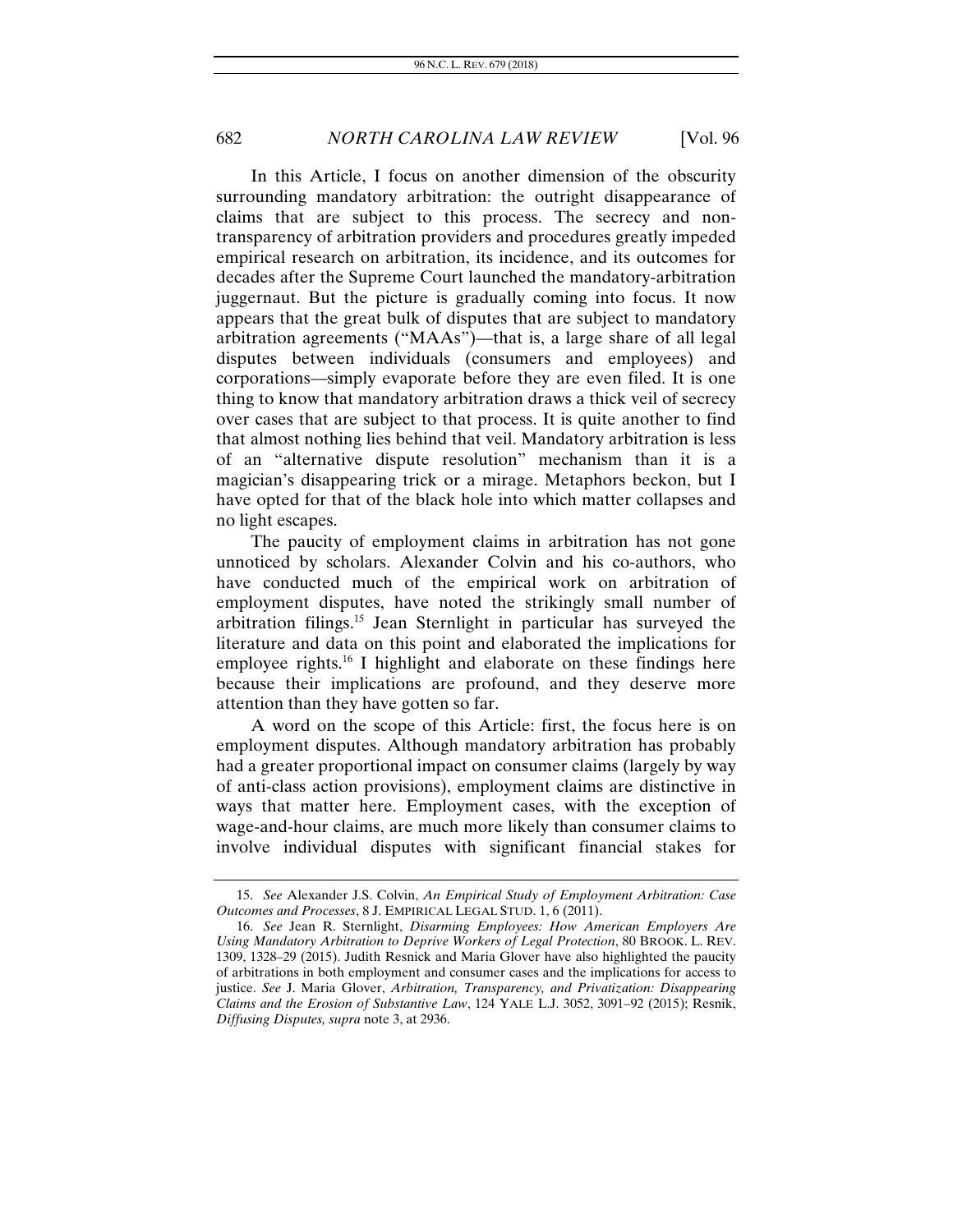In this Article, I focus on another dimension of the obscurity surrounding mandatory arbitration: the outright disappearance of claims that are subject to this process. The secrecy and nontransparency of arbitration providers and procedures greatly impeded empirical research on arbitration, its incidence, and its outcomes for decades after the Supreme Court launched the mandatory-arbitration juggernaut. But the picture is gradually coming into focus. It now appears that the great bulk of disputes that are subject to mandatory arbitration agreements ("MAAs")—that is, a large share of all legal disputes between individuals (consumers and employees) and corporations—simply evaporate before they are even filed. It is one thing to know that mandatory arbitration draws a thick veil of secrecy over cases that are subject to that process. It is quite another to find that almost nothing lies behind that veil. Mandatory arbitration is less of an "alternative dispute resolution" mechanism than it is a magician's disappearing trick or a mirage. Metaphors beckon, but I have opted for that of the black hole into which matter collapses and no light escapes.

The paucity of employment claims in arbitration has not gone unnoticed by scholars. Alexander Colvin and his co-authors, who have conducted much of the empirical work on arbitration of employment disputes, have noted the strikingly small number of arbitration filings.15 Jean Sternlight in particular has surveyed the literature and data on this point and elaborated the implications for employee rights.<sup>16</sup> I highlight and elaborate on these findings here because their implications are profound, and they deserve more attention than they have gotten so far.

A word on the scope of this Article: first, the focus here is on employment disputes. Although mandatory arbitration has probably had a greater proportional impact on consumer claims (largely by way of anti-class action provisions), employment claims are distinctive in ways that matter here. Employment cases, with the exception of wage-and-hour claims, are much more likely than consumer claims to involve individual disputes with significant financial stakes for

<sup>15.</sup> *See* Alexander J.S. Colvin, *An Empirical Study of Employment Arbitration: Case Outcomes and Processes*, 8 J. EMPIRICAL LEGAL STUD. 1, 6 (2011).

<sup>16.</sup> *See* Jean R. Sternlight, *Disarming Employees: How American Employers Are Using Mandatory Arbitration to Deprive Workers of Legal Protection*, 80 BROOK. L. REV. 1309, 1328–29 (2015). Judith Resnick and Maria Glover have also highlighted the paucity of arbitrations in both employment and consumer cases and the implications for access to justice. *See* J. Maria Glover, *Arbitration, Transparency, and Privatization: Disappearing Claims and the Erosion of Substantive Law*, 124 YALE L.J. 3052, 3091–92 (2015); Resnik, *Diffusing Disputes, supra* note 3, at 2936.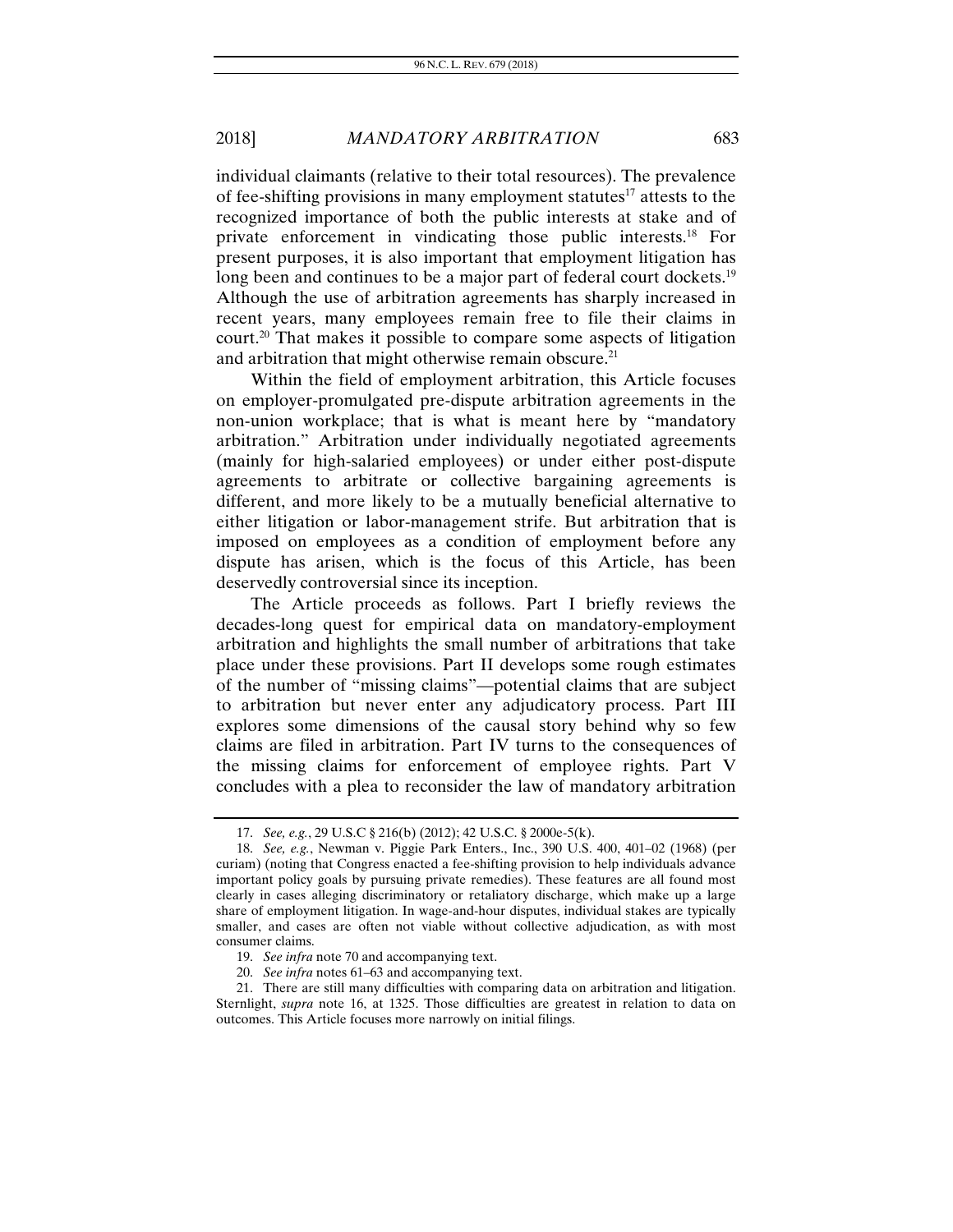individual claimants (relative to their total resources). The prevalence of fee-shifting provisions in many employment statutes $17$  attests to the recognized importance of both the public interests at stake and of private enforcement in vindicating those public interests.18 For present purposes, it is also important that employment litigation has long been and continues to be a major part of federal court dockets.<sup>19</sup> Although the use of arbitration agreements has sharply increased in recent years, many employees remain free to file their claims in court.20 That makes it possible to compare some aspects of litigation and arbitration that might otherwise remain obscure.<sup>21</sup>

Within the field of employment arbitration, this Article focuses on employer-promulgated pre-dispute arbitration agreements in the non-union workplace; that is what is meant here by "mandatory arbitration." Arbitration under individually negotiated agreements (mainly for high-salaried employees) or under either post-dispute agreements to arbitrate or collective bargaining agreements is different, and more likely to be a mutually beneficial alternative to either litigation or labor-management strife. But arbitration that is imposed on employees as a condition of employment before any dispute has arisen, which is the focus of this Article, has been deservedly controversial since its inception.

The Article proceeds as follows. Part I briefly reviews the decades-long quest for empirical data on mandatory-employment arbitration and highlights the small number of arbitrations that take place under these provisions. Part II develops some rough estimates of the number of "missing claims"—potential claims that are subject to arbitration but never enter any adjudicatory process. Part III explores some dimensions of the causal story behind why so few claims are filed in arbitration. Part IV turns to the consequences of the missing claims for enforcement of employee rights. Part V concludes with a plea to reconsider the law of mandatory arbitration

<sup>17.</sup> *See, e.g.*, 29 U.S.C § 216(b) (2012); 42 U.S.C. § 2000e-5(k).

<sup>18.</sup> *See, e.g.*, Newman v. Piggie Park Enters., Inc., 390 U.S. 400, 401–02 (1968) (per curiam) (noting that Congress enacted a fee-shifting provision to help individuals advance important policy goals by pursuing private remedies). These features are all found most clearly in cases alleging discriminatory or retaliatory discharge, which make up a large share of employment litigation. In wage-and-hour disputes, individual stakes are typically smaller, and cases are often not viable without collective adjudication, as with most consumer claims.

<sup>19.</sup> *See infra* note 70 and accompanying text.

<sup>20.</sup> *See infra* notes 61–63 and accompanying text.

 <sup>21.</sup> There are still many difficulties with comparing data on arbitration and litigation. Sternlight, *supra* note 16, at 1325. Those difficulties are greatest in relation to data on outcomes. This Article focuses more narrowly on initial filings.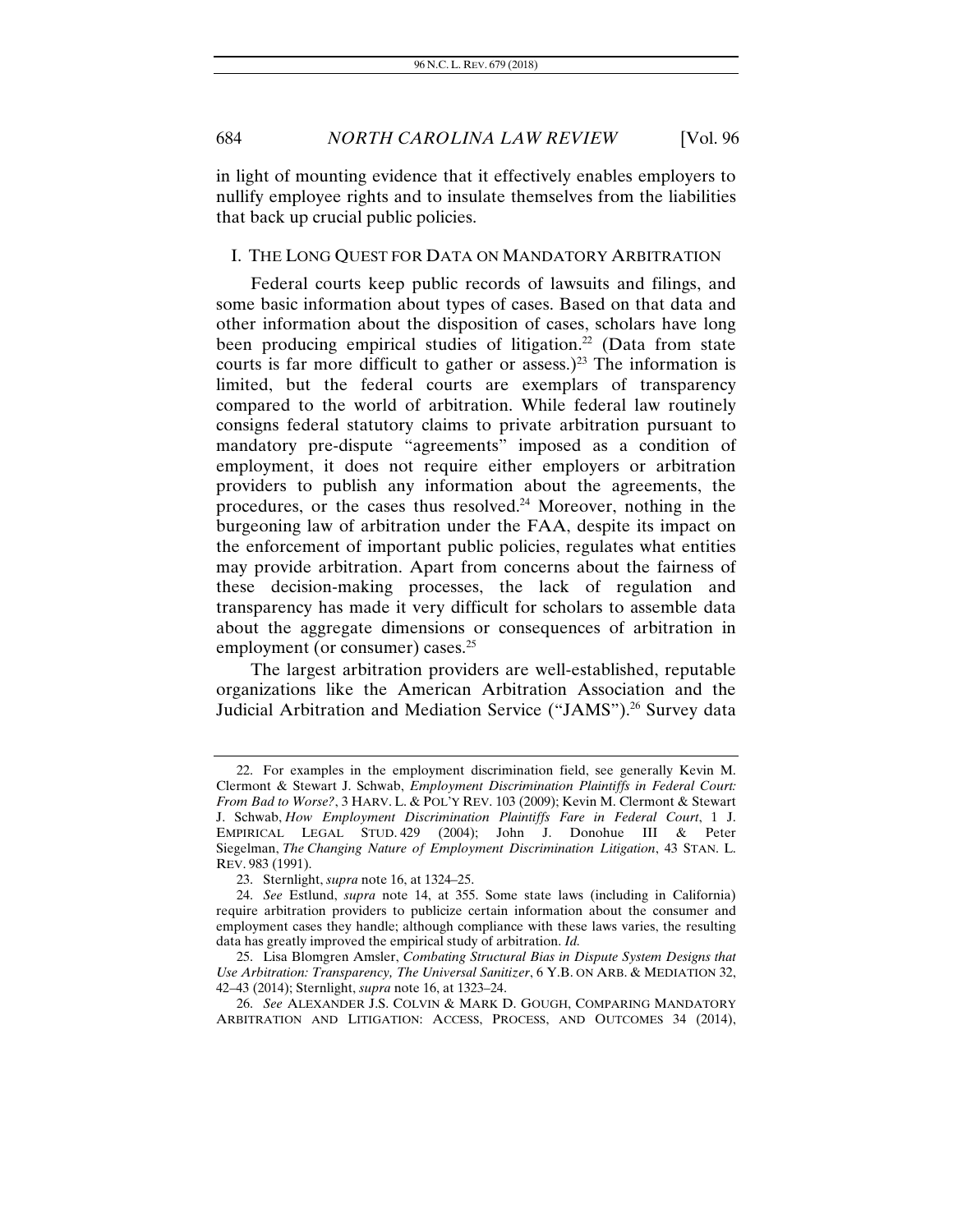in light of mounting evidence that it effectively enables employers to nullify employee rights and to insulate themselves from the liabilities that back up crucial public policies.

#### I. THE LONG QUEST FOR DATA ON MANDATORY ARBITRATION

Federal courts keep public records of lawsuits and filings, and some basic information about types of cases. Based on that data and other information about the disposition of cases, scholars have long been producing empirical studies of litigation.<sup>22</sup> (Data from state courts is far more difficult to gather or assess.)<sup>23</sup> The information is limited, but the federal courts are exemplars of transparency compared to the world of arbitration. While federal law routinely consigns federal statutory claims to private arbitration pursuant to mandatory pre-dispute "agreements" imposed as a condition of employment, it does not require either employers or arbitration providers to publish any information about the agreements, the procedures, or the cases thus resolved.24 Moreover, nothing in the burgeoning law of arbitration under the FAA, despite its impact on the enforcement of important public policies, regulates what entities may provide arbitration. Apart from concerns about the fairness of these decision-making processes, the lack of regulation and transparency has made it very difficult for scholars to assemble data about the aggregate dimensions or consequences of arbitration in employment (or consumer) cases.<sup>25</sup>

The largest arbitration providers are well-established, reputable organizations like the American Arbitration Association and the Judicial Arbitration and Mediation Service ("JAMS").<sup>26</sup> Survey data

 <sup>22.</sup> For examples in the employment discrimination field, see generally Kevin M. Clermont & Stewart J. Schwab, *Employment Discrimination Plaintiffs in Federal Court: From Bad to Worse?*, 3 HARV. L. & POL'Y REV. 103 (2009); Kevin M. Clermont & Stewart J. Schwab, *How Employment Discrimination Plaintiffs Fare in Federal Court*, 1 J. EMPIRICAL LEGAL STUD. 429 (2004); John J. Donohue III & Peter Siegelman, *The Changing Nature of Employment Discrimination Litigation*, 43 STAN. L. REV. 983 (1991).

 <sup>23.</sup> Sternlight, *supra* note 16, at 1324–25.

<sup>24.</sup> *See* Estlund, *supra* note 14, at 355. Some state laws (including in California) require arbitration providers to publicize certain information about the consumer and employment cases they handle; although compliance with these laws varies, the resulting data has greatly improved the empirical study of arbitration. *Id.*

 <sup>25.</sup> Lisa Blomgren Amsler, *Combating Structural Bias in Dispute System Designs that Use Arbitration: Transparency, The Universal Sanitizer*, 6 Y.B. ON ARB. & MEDIATION 32, 42–43 (2014); Sternlight, *supra* note 16, at 1323–24.

<sup>26.</sup> *See* ALEXANDER J.S. COLVIN & MARK D. GOUGH, COMPARING MANDATORY ARBITRATION AND LITIGATION: ACCESS, PROCESS, AND OUTCOMES 34 (2014),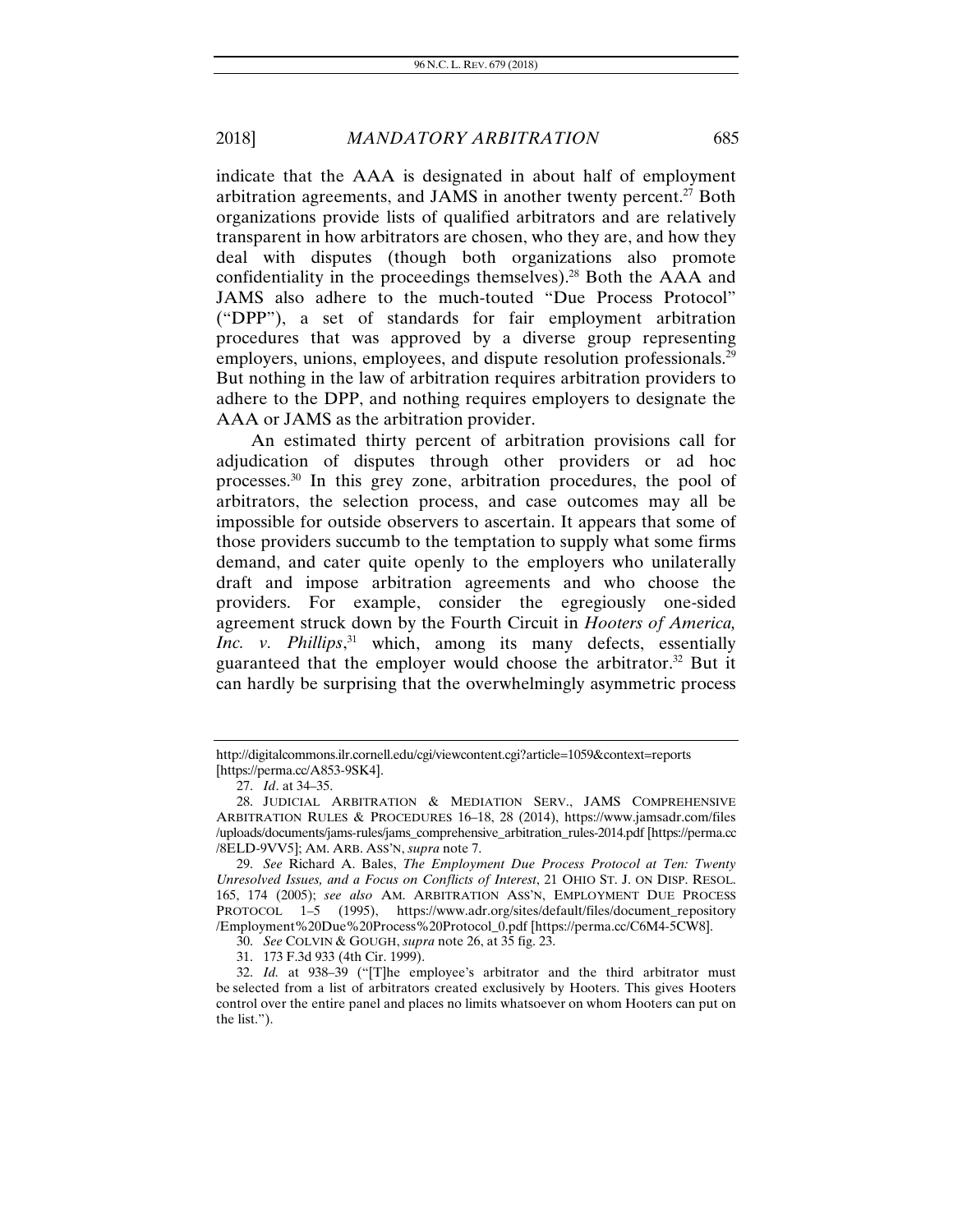indicate that the AAA is designated in about half of employment arbitration agreements, and JAMS in another twenty percent.<sup>27</sup> Both organizations provide lists of qualified arbitrators and are relatively transparent in how arbitrators are chosen, who they are, and how they deal with disputes (though both organizations also promote confidentiality in the proceedings themselves).<sup>28</sup> Both the  $AAA$  and JAMS also adhere to the much-touted "Due Process Protocol" ("DPP"), a set of standards for fair employment arbitration procedures that was approved by a diverse group representing employers, unions, employees, and dispute resolution professionals.<sup>29</sup> But nothing in the law of arbitration requires arbitration providers to adhere to the DPP, and nothing requires employers to designate the AAA or JAMS as the arbitration provider.

An estimated thirty percent of arbitration provisions call for adjudication of disputes through other providers or ad hoc processes.30 In this grey zone, arbitration procedures, the pool of arbitrators, the selection process, and case outcomes may all be impossible for outside observers to ascertain. It appears that some of those providers succumb to the temptation to supply what some firms demand, and cater quite openly to the employers who unilaterally draft and impose arbitration agreements and who choose the providers. For example, consider the egregiously one-sided agreement struck down by the Fourth Circuit in *Hooters of America, Inc. v. Phillips*, 31 which, among its many defects, essentially guaranteed that the employer would choose the arbitrator.<sup>32</sup> But it can hardly be surprising that the overwhelmingly asymmetric process

http://digitalcommons.ilr.cornell.edu/cgi/viewcontent.cgi?article=1059&context=reports [https://perma.cc/A853-9SK4].

<sup>27.</sup> *Id*. at 34–35.

 <sup>28.</sup> JUDICIAL ARBITRATION & MEDIATION SERV., JAMS COMPREHENSIVE ARBITRATION RULES & PROCEDURES 16–18, 28 (2014), https://www.jamsadr.com/files /uploads/documents/jams-rules/jams\_comprehensive\_arbitration\_rules-2014.pdf [https://perma.cc /8ELD-9VV5]; AM. ARB. ASS'N, *supra* note 7.

<sup>29.</sup> *See* Richard A. Bales, *The Employment Due Process Protocol at Ten: Twenty Unresolved Issues, and a Focus on Conflicts of Interest*, 21 OHIO ST. J. ON DISP. RESOL. 165, 174 (2005); *see also* AM. ARBITRATION ASS'N, EMPLOYMENT DUE PROCESS PROTOCOL 1–5 (1995), https://www.adr.org/sites/default/files/document\_repository /Employment%20Due%20Process%20Protocol\_0.pdf [https://perma.cc/C6M4-5CW8].

<sup>30.</sup> *See* COLVIN & GOUGH, *supra* note 26, at 35 fig. 23.

 <sup>31. 173</sup> F.3d 933 (4th Cir. 1999).

<sup>32.</sup> *Id.* at 938–39 ("[T]he employee's arbitrator and the third arbitrator must be selected from a list of arbitrators created exclusively by Hooters. This gives Hooters control over the entire panel and places no limits whatsoever on whom Hooters can put on the list.").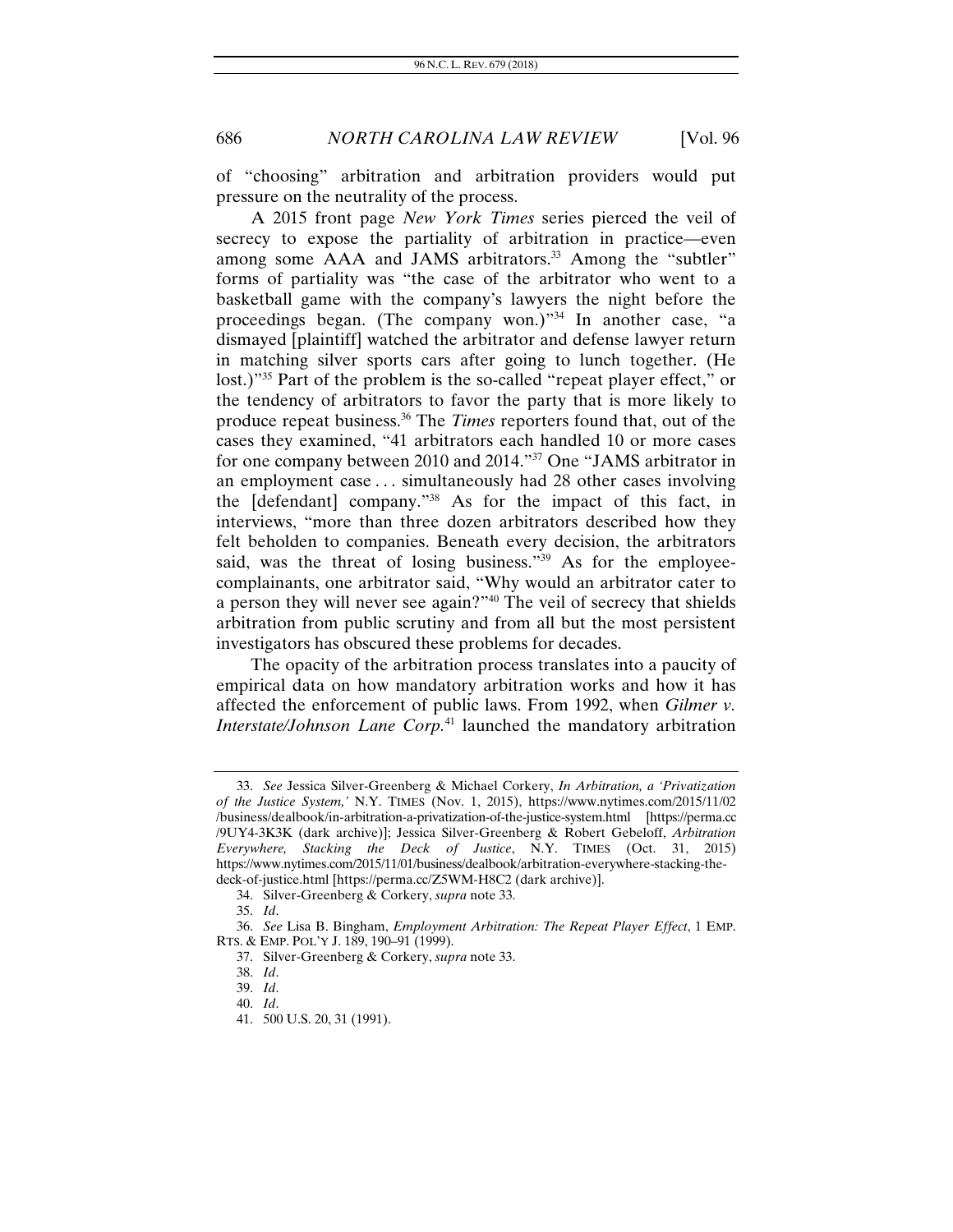of "choosing" arbitration and arbitration providers would put pressure on the neutrality of the process.

A 2015 front page *New York Times* series pierced the veil of secrecy to expose the partiality of arbitration in practice—even among some AAA and JAMS arbitrators.<sup>33</sup> Among the "subtler" forms of partiality was "the case of the arbitrator who went to a basketball game with the company's lawyers the night before the proceedings began. (The company won.)"<sup>34</sup> In another case, "a dismayed [plaintiff] watched the arbitrator and defense lawyer return in matching silver sports cars after going to lunch together. (He lost.)"<sup>35</sup> Part of the problem is the so-called "repeat player effect," or the tendency of arbitrators to favor the party that is more likely to produce repeat business.36 The *Times* reporters found that, out of the cases they examined, "41 arbitrators each handled 10 or more cases for one company between 2010 and 2014."37 One "JAMS arbitrator in an employment case . . . simultaneously had 28 other cases involving the [defendant] company."38 As for the impact of this fact, in interviews, "more than three dozen arbitrators described how they felt beholden to companies. Beneath every decision, the arbitrators said, was the threat of losing business."<sup>39</sup> As for the employeecomplainants, one arbitrator said, "Why would an arbitrator cater to a person they will never see again?"40 The veil of secrecy that shields arbitration from public scrutiny and from all but the most persistent investigators has obscured these problems for decades.

The opacity of the arbitration process translates into a paucity of empirical data on how mandatory arbitration works and how it has affected the enforcement of public laws. From 1992, when *Gilmer v. Interstate/Johnson Lane Corp.*41 launched the mandatory arbitration

<sup>33.</sup> *See* Jessica Silver-Greenberg & Michael Corkery, *In Arbitration, a 'Privatization of the Justice System,'* N.Y. TIMES (Nov. 1, 2015), https://www.nytimes.com/2015/11/02 /business/dealbook/in-arbitration-a-privatization-of-the-justice-system.html [https://perma.cc /9UY4-3K3K (dark archive)]; Jessica Silver-Greenberg & Robert Gebeloff, *Arbitration Everywhere, Stacking the Deck of Justice*, N.Y. TIMES (Oct. 31, 2015) https://www.nytimes.com/2015/11/01/business/dealbook/arbitration-everywhere-stacking-thedeck-of-justice.html [https://perma.cc/Z5WM-H8C2 (dark archive)].

 <sup>34.</sup> Silver-Greenberg & Corkery, *supra* note 33.

<sup>35.</sup> *Id*.

<sup>36.</sup> *See* Lisa B. Bingham, *Employment Arbitration: The Repeat Player Effect*, 1 EMP. RTS. & EMP. POL'Y J. 189, 190–91 (1999).

 <sup>37.</sup> Silver-Greenberg & Corkery, *supra* note 33.

<sup>38.</sup> *Id*.

<sup>39.</sup> *Id*.

<sup>40.</sup> *Id*.

 <sup>41. 500</sup> U.S. 20, 31 (1991).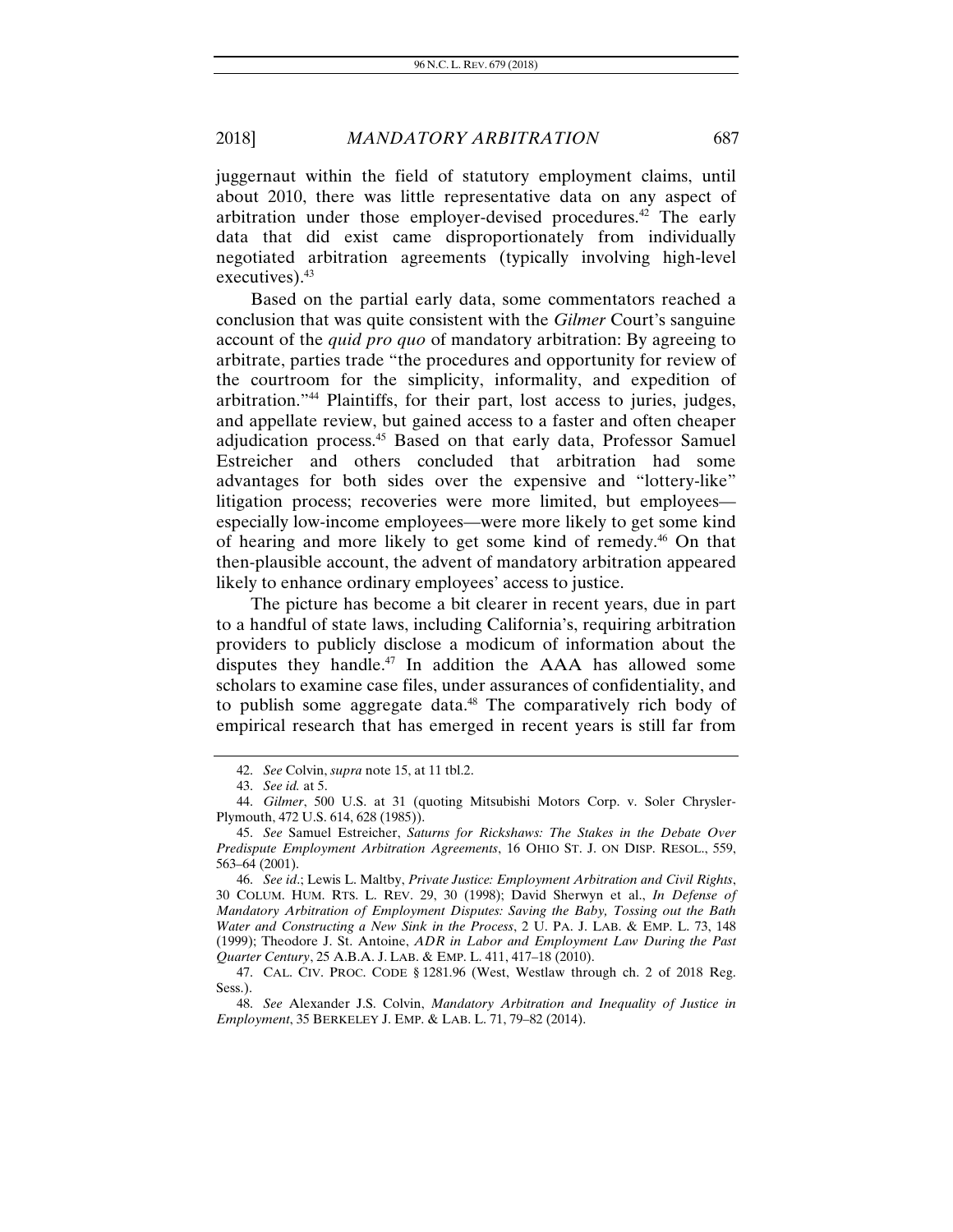juggernaut within the field of statutory employment claims, until about 2010, there was little representative data on any aspect of arbitration under those employer-devised procedures.42 The early data that did exist came disproportionately from individually negotiated arbitration agreements (typically involving high-level executives).  $43$ 

Based on the partial early data, some commentators reached a conclusion that was quite consistent with the *Gilmer* Court's sanguine account of the *quid pro quo* of mandatory arbitration: By agreeing to arbitrate, parties trade "the procedures and opportunity for review of the courtroom for the simplicity, informality, and expedition of arbitration."44 Plaintiffs, for their part, lost access to juries, judges, and appellate review, but gained access to a faster and often cheaper adjudication process.45 Based on that early data, Professor Samuel Estreicher and others concluded that arbitration had some advantages for both sides over the expensive and "lottery-like" litigation process; recoveries were more limited, but employees especially low-income employees—were more likely to get some kind of hearing and more likely to get some kind of remedy.46 On that then-plausible account, the advent of mandatory arbitration appeared likely to enhance ordinary employees' access to justice.

The picture has become a bit clearer in recent years, due in part to a handful of state laws, including California's, requiring arbitration providers to publicly disclose a modicum of information about the disputes they handle.<sup>47</sup> In addition the AAA has allowed some scholars to examine case files, under assurances of confidentiality, and to publish some aggregate data.48 The comparatively rich body of empirical research that has emerged in recent years is still far from

<sup>42.</sup> *See* Colvin, *supra* note 15, at 11 tbl.2.

<sup>43.</sup> *See id.* at 5.

<sup>44.</sup> *Gilmer*, 500 U.S. at 31 (quoting Mitsubishi Motors Corp. v. Soler Chrysler-Plymouth, 472 U.S. 614, 628 (1985)).

 <sup>45.</sup> *See* Samuel Estreicher, *Saturns for Rickshaws: The Stakes in the Debate Over Predispute Employment Arbitration Agreements*, 16 OHIO ST. J. ON DISP. RESOL., 559, 563–64 (2001).

<sup>46.</sup> *See id*.; Lewis L. Maltby, *Private Justice: Employment Arbitration and Civil Rights*, 30 COLUM. HUM. RTS. L. REV. 29, 30 (1998); David Sherwyn et al., *In Defense of Mandatory Arbitration of Employment Disputes: Saving the Baby, Tossing out the Bath Water and Constructing a New Sink in the Process*, 2 U. PA. J. LAB. & EMP. L. 73, 148 (1999); Theodore J. St. Antoine, *ADR in Labor and Employment Law During the Past Quarter Century*, 25 A.B.A. J. LAB. & EMP. L. 411, 417–18 (2010).

 <sup>47.</sup> CAL. CIV. PROC. CODE § 1281.96 (West, Westlaw through ch. 2 of 2018 Reg. Sess.).

<sup>48.</sup> *See* Alexander J.S. Colvin, *Mandatory Arbitration and Inequality of Justice in Employment*, 35 BERKELEY J. EMP. & LAB. L. 71, 79–82 (2014).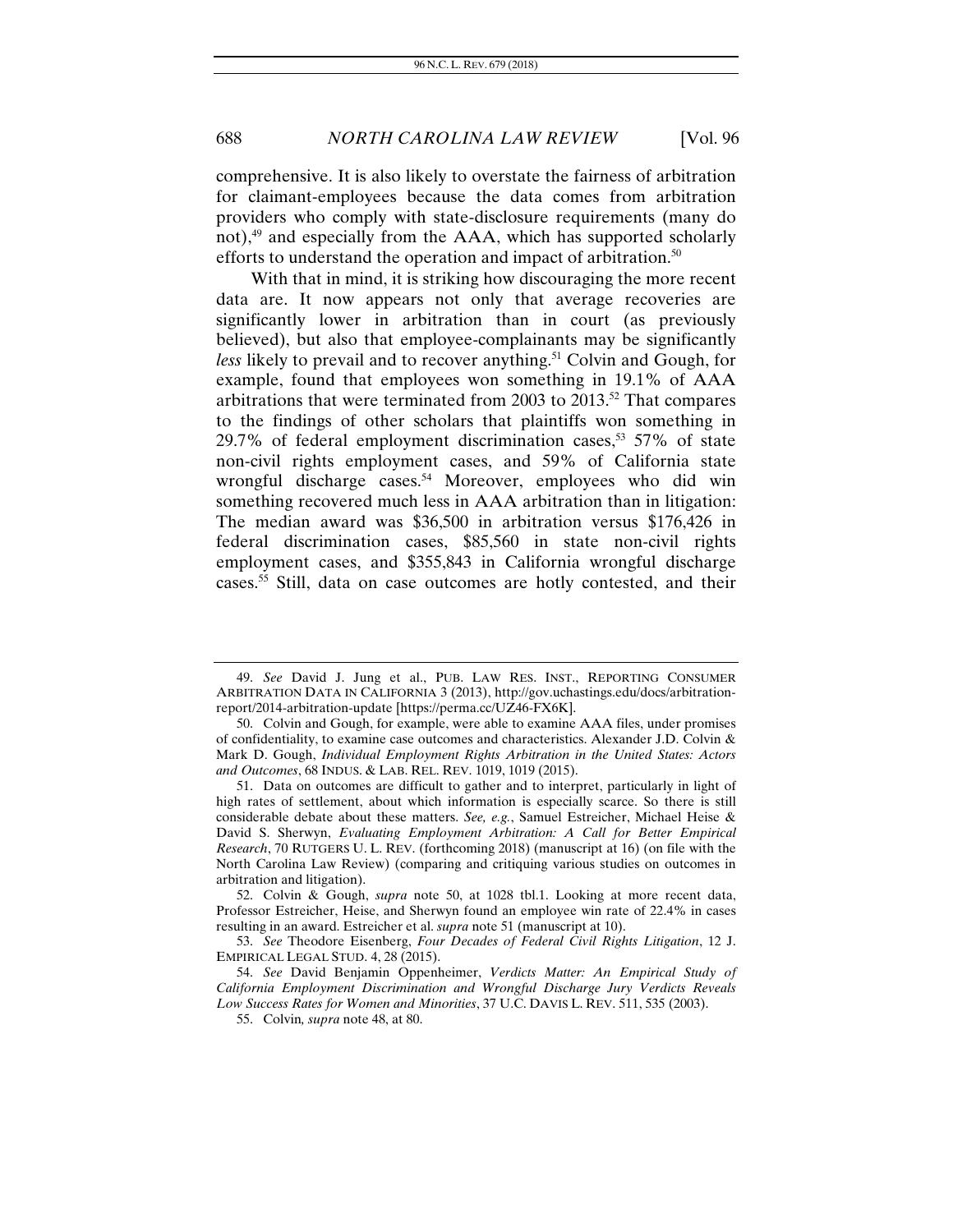comprehensive. It is also likely to overstate the fairness of arbitration for claimant-employees because the data comes from arbitration providers who comply with state-disclosure requirements (many do not),49 and especially from the AAA, which has supported scholarly efforts to understand the operation and impact of arbitration.<sup>50</sup>

With that in mind, it is striking how discouraging the more recent data are. It now appears not only that average recoveries are significantly lower in arbitration than in court (as previously believed), but also that employee-complainants may be significantly *less* likely to prevail and to recover anything.<sup>51</sup> Colvin and Gough, for example, found that employees won something in 19.1% of AAA arbitrations that were terminated from 2003 to 2013.52 That compares to the findings of other scholars that plaintiffs won something in 29.7% of federal employment discrimination cases,<sup>53</sup> 57% of state non-civil rights employment cases, and 59% of California state wrongful discharge cases.<sup>54</sup> Moreover, employees who did win something recovered much less in AAA arbitration than in litigation: The median award was \$36,500 in arbitration versus \$176,426 in federal discrimination cases, \$85,560 in state non-civil rights employment cases, and \$355,843 in California wrongful discharge cases.<sup>55</sup> Still, data on case outcomes are hotly contested, and their

<sup>49.</sup> *See* David J. Jung et al., PUB. LAW RES. INST., REPORTING CONSUMER ARBITRATION DATA IN CALIFORNIA 3 (2013), http://gov.uchastings.edu/docs/arbitrationreport/2014-arbitration-update [https://perma.cc/UZ46-FX6K].

 <sup>50.</sup> Colvin and Gough, for example, were able to examine AAA files, under promises of confidentiality, to examine case outcomes and characteristics. Alexander J.D. Colvin & Mark D. Gough, *Individual Employment Rights Arbitration in the United States: Actors and Outcomes*, 68 INDUS. & LAB. REL. REV. 1019, 1019 (2015).

 <sup>51.</sup> Data on outcomes are difficult to gather and to interpret, particularly in light of high rates of settlement, about which information is especially scarce. So there is still considerable debate about these matters. *See, e.g.*, Samuel Estreicher, Michael Heise & David S. Sherwyn, *Evaluating Employment Arbitration: A Call for Better Empirical Research*, 70 RUTGERS U. L. REV. (forthcoming 2018) (manuscript at 16) (on file with the North Carolina Law Review) (comparing and critiquing various studies on outcomes in arbitration and litigation).

 <sup>52.</sup> Colvin & Gough, *supra* note 50, at 1028 tbl.1. Looking at more recent data, Professor Estreicher, Heise, and Sherwyn found an employee win rate of 22.4% in cases resulting in an award. Estreicher et al. *supra* note 51 (manuscript at 10).

<sup>53.</sup> *See* Theodore Eisenberg, *Four Decades of Federal Civil Rights Litigation*, 12 J. EMPIRICAL LEGAL STUD. 4, 28 (2015).

<sup>54.</sup> *See* David Benjamin Oppenheimer, *Verdicts Matter: An Empirical Study of California Employment Discrimination and Wrongful Discharge Jury Verdicts Reveals Low Success Rates for Women and Minorities*, 37 U.C. DAVIS L. REV. 511, 535 (2003).

 <sup>55.</sup> Colvin*, supra* note 48, at 80.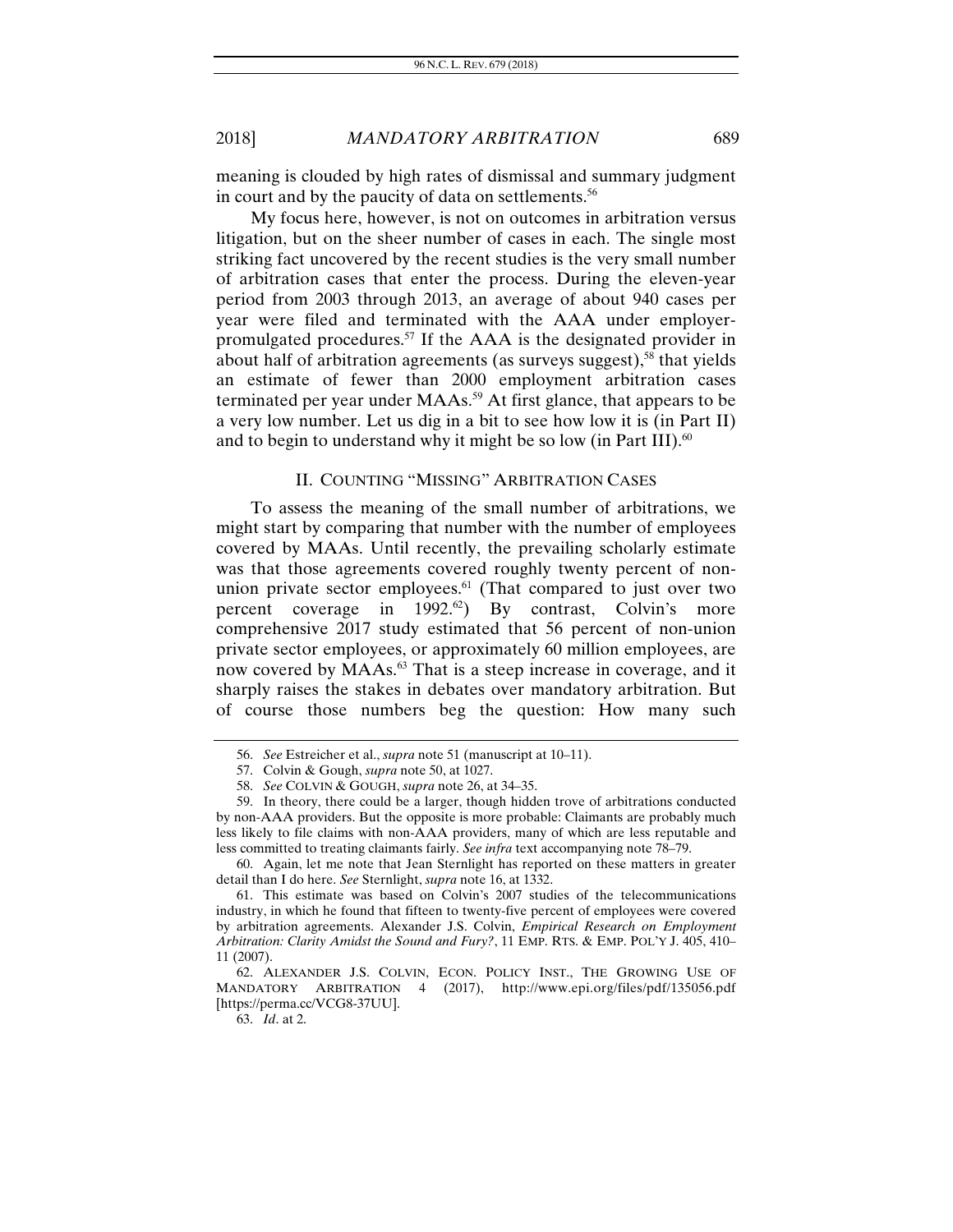meaning is clouded by high rates of dismissal and summary judgment in court and by the paucity of data on settlements.<sup>56</sup>

My focus here, however, is not on outcomes in arbitration versus litigation, but on the sheer number of cases in each. The single most striking fact uncovered by the recent studies is the very small number of arbitration cases that enter the process. During the eleven-year period from 2003 through 2013, an average of about 940 cases per year were filed and terminated with the AAA under employerpromulgated procedures.57 If the AAA is the designated provider in about half of arbitration agreements (as surveys suggest), $58$  that yields an estimate of fewer than 2000 employment arbitration cases terminated per year under MAAs.<sup>59</sup> At first glance, that appears to be a very low number. Let us dig in a bit to see how low it is (in Part II) and to begin to understand why it might be so low (in Part III).<sup>60</sup>

#### II. COUNTING "MISSING" ARBITRATION CASES

To assess the meaning of the small number of arbitrations, we might start by comparing that number with the number of employees covered by MAAs. Until recently, the prevailing scholarly estimate was that those agreements covered roughly twenty percent of nonunion private sector employees. $61$  (That compared to just over two percent coverage in  $1992.62$ ) By contrast, Colvin's more comprehensive 2017 study estimated that 56 percent of non-union private sector employees, or approximately 60 million employees, are now covered by MAAs.<sup>63</sup> That is a steep increase in coverage, and it sharply raises the stakes in debates over mandatory arbitration. But of course those numbers beg the question: How many such

<sup>56.</sup> *See* Estreicher et al., *supra* note 51 (manuscript at 10–11).

 <sup>57.</sup> Colvin & Gough, *supra* note 50, at 1027.

<sup>58.</sup> *See* COLVIN & GOUGH, *supra* note 26, at 34–35.

 <sup>59.</sup> In theory, there could be a larger, though hidden trove of arbitrations conducted by non-AAA providers. But the opposite is more probable: Claimants are probably much less likely to file claims with non-AAA providers, many of which are less reputable and less committed to treating claimants fairly. *See infra* text accompanying note 78–79.

 <sup>60.</sup> Again, let me note that Jean Sternlight has reported on these matters in greater detail than I do here. *See* Sternlight, *supra* note 16, at 1332.

 <sup>61.</sup> This estimate was based on Colvin's 2007 studies of the telecommunications industry, in which he found that fifteen to twenty-five percent of employees were covered by arbitration agreements. Alexander J.S. Colvin, *Empirical Research on Employment Arbitration: Clarity Amidst the Sound and Fury?*, 11 EMP. RTS. & EMP. POL'Y J. 405, 410– 11 (2007).

 <sup>62.</sup> ALEXANDER J.S. COLVIN, ECON. POLICY INST., THE GROWING USE OF MANDATORY ARBITRATION 4 (2017), http://www.epi.org/files/pdf/135056.pdf [https://perma.cc/VCG8-37UU].

<sup>63.</sup> *Id*. at 2.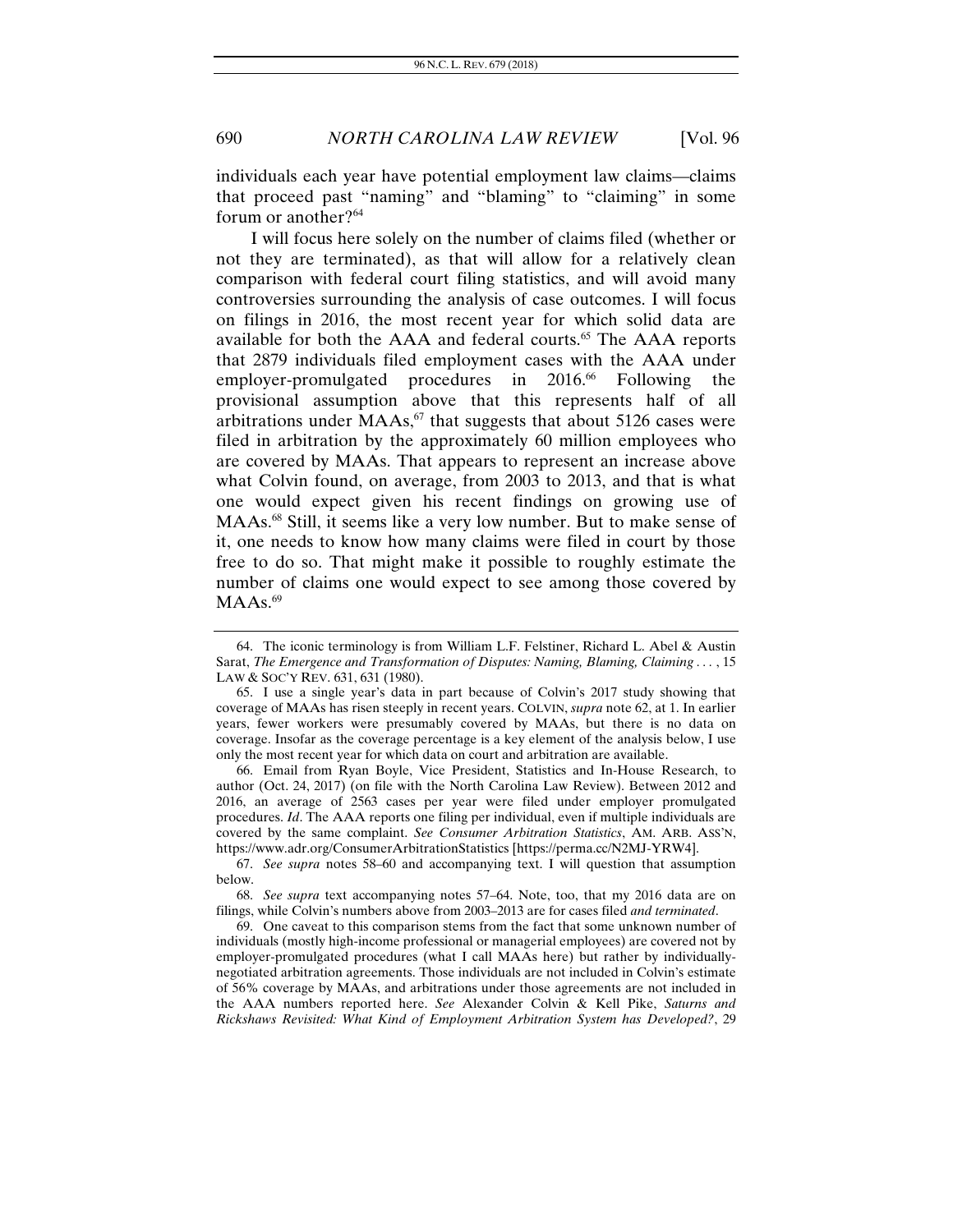individuals each year have potential employment law claims—claims that proceed past "naming" and "blaming" to "claiming" in some forum or another? $64$ 

I will focus here solely on the number of claims filed (whether or not they are terminated), as that will allow for a relatively clean comparison with federal court filing statistics, and will avoid many controversies surrounding the analysis of case outcomes. I will focus on filings in 2016, the most recent year for which solid data are available for both the AAA and federal courts.<sup>65</sup> The AAA reports that 2879 individuals filed employment cases with the AAA under employer-promulgated procedures in 2016.<sup>66</sup> Following the provisional assumption above that this represents half of all arbitrations under  $MAAs<sub>67</sub>$  that suggests that about 5126 cases were filed in arbitration by the approximately 60 million employees who are covered by MAAs. That appears to represent an increase above what Colvin found, on average, from 2003 to 2013, and that is what one would expect given his recent findings on growing use of MAAs.<sup>68</sup> Still, it seems like a very low number. But to make sense of it, one needs to know how many claims were filed in court by those free to do so. That might make it possible to roughly estimate the number of claims one would expect to see among those covered by  $MAAs.<sup>69</sup>$ 

 66. Email from Ryan Boyle, Vice President, Statistics and In-House Research, to author (Oct. 24, 2017) (on file with the North Carolina Law Review). Between 2012 and 2016, an average of 2563 cases per year were filed under employer promulgated procedures. *Id*. The AAA reports one filing per individual, even if multiple individuals are covered by the same complaint. *See Consumer Arbitration Statistics*, AM. ARB. ASS'N, https://www.adr.org/ConsumerArbitrationStatistics [https://perma.cc/N2MJ-YRW4].

 <sup>64.</sup> The iconic terminology is from William L.F. Felstiner, Richard L. Abel & Austin Sarat, *The Emergence and Transformation of Disputes: Naming, Blaming, Claiming . . .* , 15 LAW & SOC'Y REV. 631, 631 (1980).

 <sup>65.</sup> I use a single year's data in part because of Colvin's 2017 study showing that coverage of MAAs has risen steeply in recent years. COLVIN, *supra* note 62, at 1. In earlier years, fewer workers were presumably covered by MAAs, but there is no data on coverage. Insofar as the coverage percentage is a key element of the analysis below, I use only the most recent year for which data on court and arbitration are available.

<sup>67.</sup> *See supra* notes 58–60 and accompanying text. I will question that assumption below.

<sup>68.</sup> *See supra* text accompanying notes 57–64. Note, too, that my 2016 data are on filings, while Colvin's numbers above from 2003–2013 are for cases filed *and terminated*.

 <sup>69.</sup> One caveat to this comparison stems from the fact that some unknown number of individuals (mostly high-income professional or managerial employees) are covered not by employer-promulgated procedures (what I call MAAs here) but rather by individuallynegotiated arbitration agreements. Those individuals are not included in Colvin's estimate of 56% coverage by MAAs, and arbitrations under those agreements are not included in the AAA numbers reported here. *See* Alexander Colvin & Kell Pike, *Saturns and Rickshaws Revisited: What Kind of Employment Arbitration System has Developed?*, 29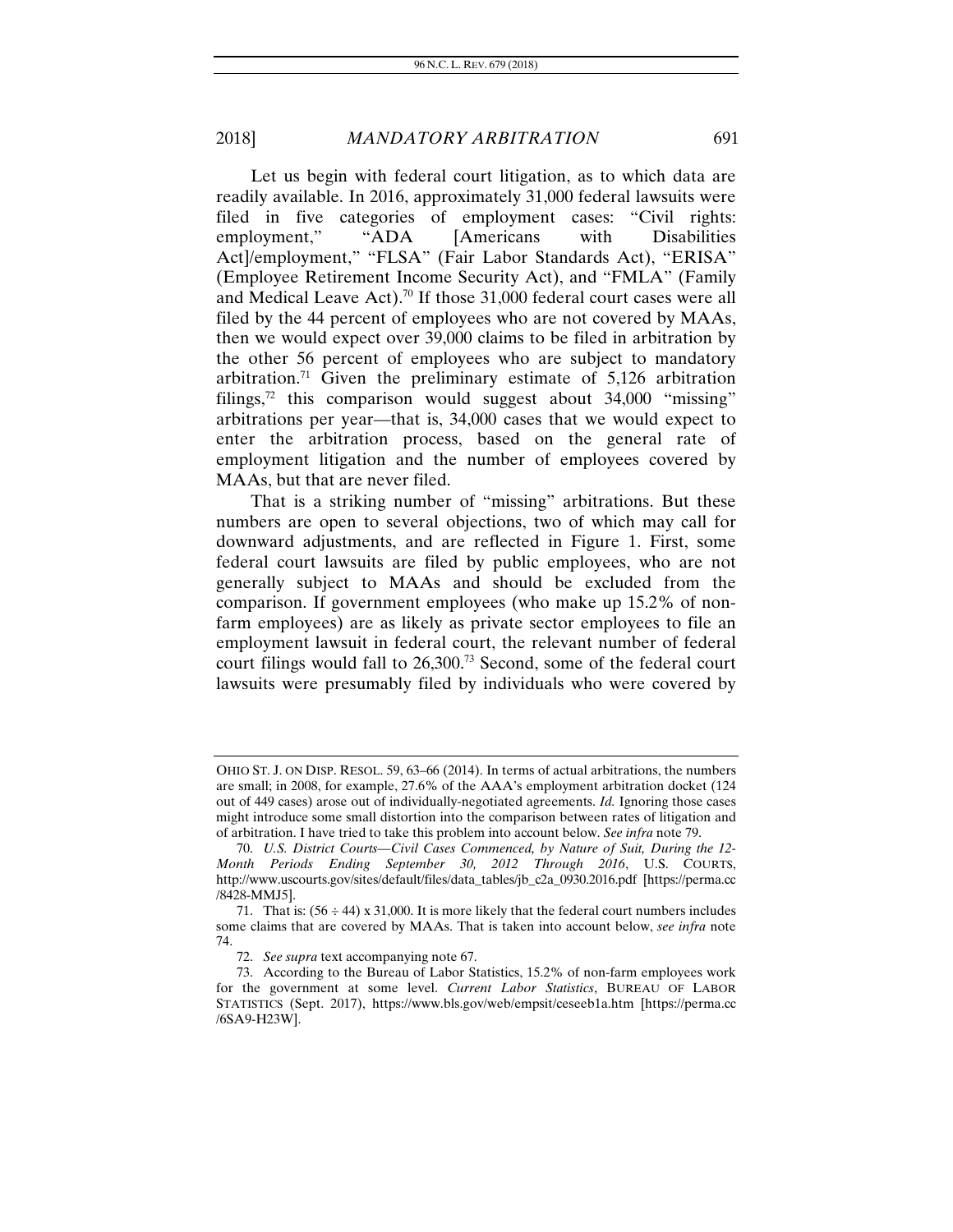Let us begin with federal court litigation, as to which data are readily available. In 2016, approximately 31,000 federal lawsuits were filed in five categories of employment cases: "Civil rights: employment," "ADA [Americans with Disabilities Act]/employment," "FLSA" (Fair Labor Standards Act), "ERISA" (Employee Retirement Income Security Act), and "FMLA" (Family and Medical Leave Act).<sup>70</sup> If those 31,000 federal court cases were all filed by the 44 percent of employees who are not covered by MAAs, then we would expect over 39,000 claims to be filed in arbitration by the other 56 percent of employees who are subject to mandatory arbitration.<sup>71</sup> Given the preliminary estimate of  $5,126$  arbitration filings, $72$  this comparison would suggest about 34,000 "missing" arbitrations per year—that is, 34,000 cases that we would expect to enter the arbitration process, based on the general rate of employment litigation and the number of employees covered by MAAs, but that are never filed.

That is a striking number of "missing" arbitrations. But these numbers are open to several objections, two of which may call for downward adjustments, and are reflected in Figure 1. First, some federal court lawsuits are filed by public employees, who are not generally subject to MAAs and should be excluded from the comparison. If government employees (who make up 15.2% of nonfarm employees) are as likely as private sector employees to file an employment lawsuit in federal court, the relevant number of federal court filings would fall to 26,300.73 Second, some of the federal court lawsuits were presumably filed by individuals who were covered by

OHIO ST. J. ON DISP. RESOL. 59, 63–66 (2014). In terms of actual arbitrations, the numbers are small; in 2008, for example, 27.6% of the AAA's employment arbitration docket (124 out of 449 cases) arose out of individually-negotiated agreements. *Id.* Ignoring those cases might introduce some small distortion into the comparison between rates of litigation and of arbitration. I have tried to take this problem into account below. *See infra* note 79.

<sup>70.</sup> *U.S. District Courts—Civil Cases Commenced, by Nature of Suit, During the 12- Month Periods Ending September 30, 2012 Through 2016*, U.S. COURTS, http://www.uscourts.gov/sites/default/files/data\_tables/jb\_c2a\_0930.2016.pdf [https://perma.cc /8428-MMJ5].

<sup>71.</sup> That is:  $(56 \div 44) \times 31,000$ . It is more likely that the federal court numbers includes some claims that are covered by MAAs. That is taken into account below, *see infra* note 74.

<sup>72.</sup> *See supra* text accompanying note 67.

 <sup>73.</sup> According to the Bureau of Labor Statistics, 15.2% of non-farm employees work for the government at some level. *Current Labor Statistics*, BUREAU OF LABOR STATISTICS (Sept. 2017), https://www.bls.gov/web/empsit/ceseeb1a.htm [https://perma.cc /6SA9-H23W].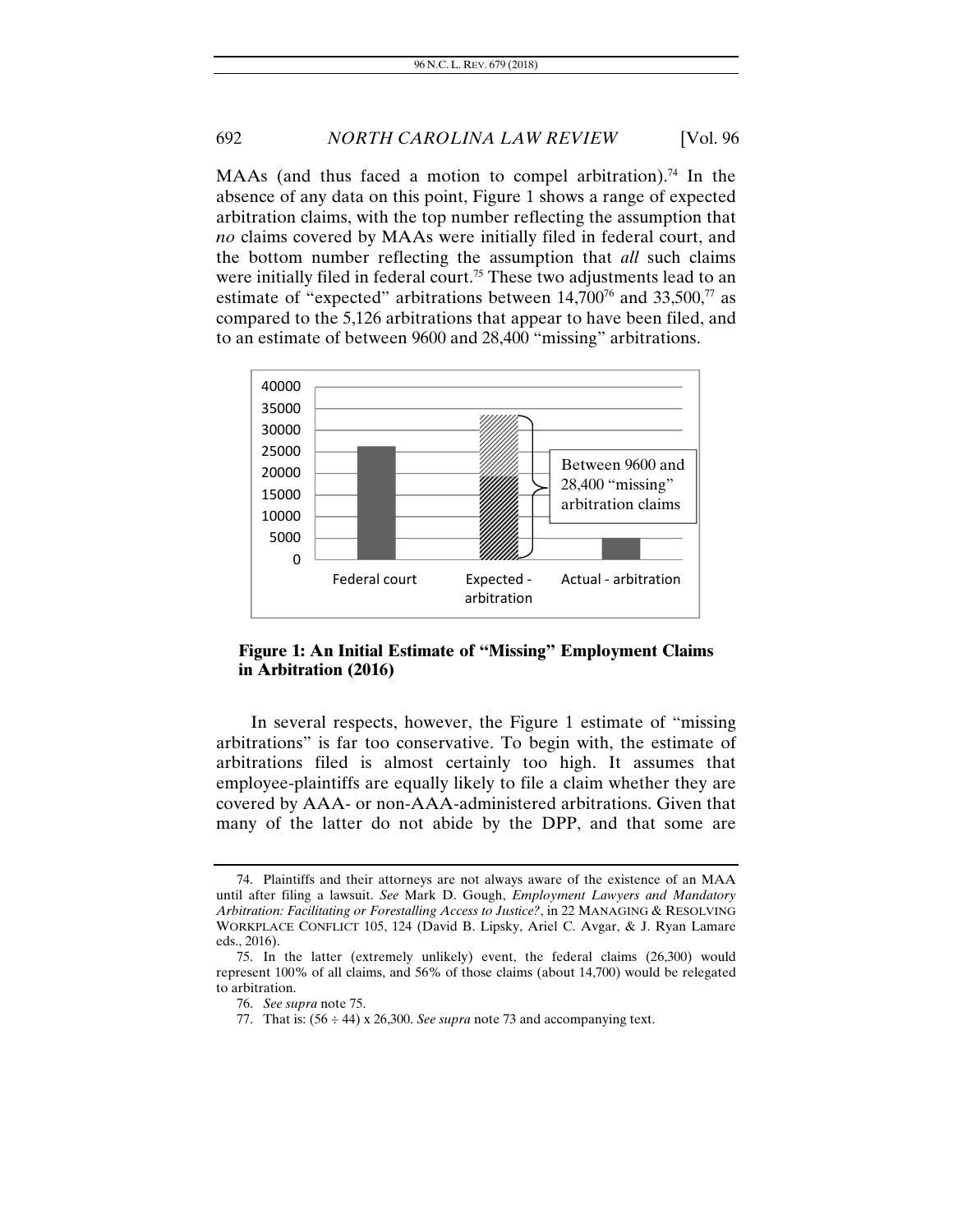MAAs (and thus faced a motion to compel arbitration).<sup>74</sup> In the absence of any data on this point, Figure 1 shows a range of expected arbitration claims, with the top number reflecting the assumption that *no* claims covered by MAAs were initially filed in federal court, and the bottom number reflecting the assumption that *all* such claims were initially filed in federal court.<sup>75</sup> These two adjustments lead to an estimate of "expected" arbitrations between  $14,700^{76}$  and  $33,500^{77}$  as compared to the 5,126 arbitrations that appear to have been filed, and to an estimate of between 9600 and 28,400 "missing" arbitrations.



**Figure 1: An Initial Estimate of "Missing" Employment Claims in Arbitration (2016)**

In several respects, however, the Figure 1 estimate of "missing arbitrations" is far too conservative. To begin with, the estimate of arbitrations filed is almost certainly too high. It assumes that employee-plaintiffs are equally likely to file a claim whether they are covered by AAA- or non-AAA-administered arbitrations. Given that many of the latter do not abide by the DPP, and that some are

 <sup>74.</sup> Plaintiffs and their attorneys are not always aware of the existence of an MAA until after filing a lawsuit. *See* Mark D. Gough, *Employment Lawyers and Mandatory Arbitration: Facilitating or Forestalling Access to Justice?*, in 22 MANAGING & RESOLVING WORKPLACE CONFLICT 105, 124 (David B. Lipsky, Ariel C. Avgar, & J. Ryan Lamare eds., 2016).

 <sup>75.</sup> In the latter (extremely unlikely) event, the federal claims (26,300) would represent 100% of all claims, and 56% of those claims (about 14,700) would be relegated to arbitration.

<sup>76.</sup> *See supra* note 75.

<sup>77.</sup> That is:  $(56 \div 44)$  x 26,300. *See supra* note 73 and accompanying text.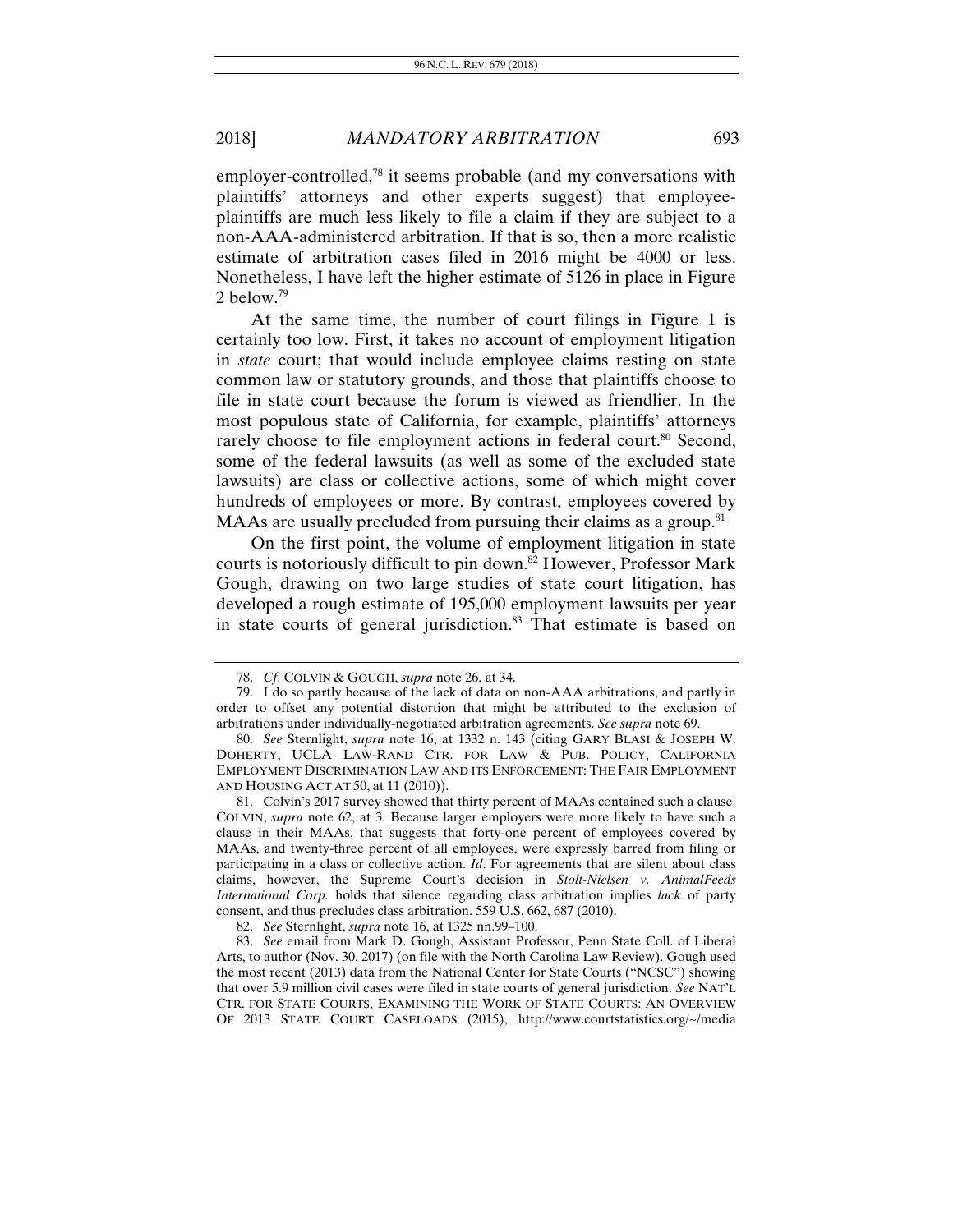employer-controlled,<sup>78</sup> it seems probable (and my conversations with plaintiffs' attorneys and other experts suggest) that employeeplaintiffs are much less likely to file a claim if they are subject to a non-AAA-administered arbitration. If that is so, then a more realistic estimate of arbitration cases filed in 2016 might be 4000 or less. Nonetheless, I have left the higher estimate of 5126 in place in Figure 2 below.79

At the same time, the number of court filings in Figure 1 is certainly too low. First, it takes no account of employment litigation in *state* court; that would include employee claims resting on state common law or statutory grounds, and those that plaintiffs choose to file in state court because the forum is viewed as friendlier. In the most populous state of California, for example, plaintiffs' attorneys rarely choose to file employment actions in federal court.<sup>80</sup> Second, some of the federal lawsuits (as well as some of the excluded state lawsuits) are class or collective actions, some of which might cover hundreds of employees or more. By contrast, employees covered by MAAs are usually precluded from pursuing their claims as a group.<sup>81</sup>

On the first point, the volume of employment litigation in state courts is notoriously difficult to pin down.<sup>82</sup> However, Professor Mark Gough, drawing on two large studies of state court litigation, has developed a rough estimate of 195,000 employment lawsuits per year in state courts of general jurisdiction.<sup>83</sup> That estimate is based on

<sup>78.</sup> *Cf*. COLVIN & GOUGH, *supra* note 26, at 34.

 <sup>79.</sup> I do so partly because of the lack of data on non-AAA arbitrations, and partly in order to offset any potential distortion that might be attributed to the exclusion of arbitrations under individually-negotiated arbitration agreements. *See supra* note 69.

<sup>80.</sup> *See* Sternlight, *supra* note 16, at 1332 n. 143 (citing GARY BLASI & JOSEPH W. DOHERTY, UCLA LAW-RAND CTR. FOR LAW & PUB. POLICY, CALIFORNIA EMPLOYMENT DISCRIMINATION LAW AND ITS ENFORCEMENT: THE FAIR EMPLOYMENT AND HOUSING ACT AT 50, at 11 (2010)).

 <sup>81.</sup> Colvin's 2017 survey showed that thirty percent of MAAs contained such a clause. COLVIN, *supra* note 62, at 3. Because larger employers were more likely to have such a clause in their MAAs, that suggests that forty-one percent of employees covered by MAAs, and twenty-three percent of all employees, were expressly barred from filing or participating in a class or collective action. *Id*. For agreements that are silent about class claims, however, the Supreme Court's decision in *Stolt-Nielsen v. AnimalFeeds International Corp.* holds that silence regarding class arbitration implies *lack* of party consent, and thus precludes class arbitration. 559 U.S. 662, 687 (2010).

<sup>82.</sup> *See* Sternlight, *supra* note 16, at 1325 nn.99–100.

 <sup>83.</sup> *See* email from Mark D. Gough, Assistant Professor, Penn State Coll. of Liberal Arts, to author (Nov. 30, 2017) (on file with the North Carolina Law Review). Gough used the most recent (2013) data from the National Center for State Courts ("NCSC") showing that over 5.9 million civil cases were filed in state courts of general jurisdiction. *See* NAT'L CTR. FOR STATE COURTS, EXAMINING THE WORK OF STATE COURTS: AN OVERVIEW OF 2013 STATE COURT CASELOADS (2015), http://www.courtstatistics.org/~/media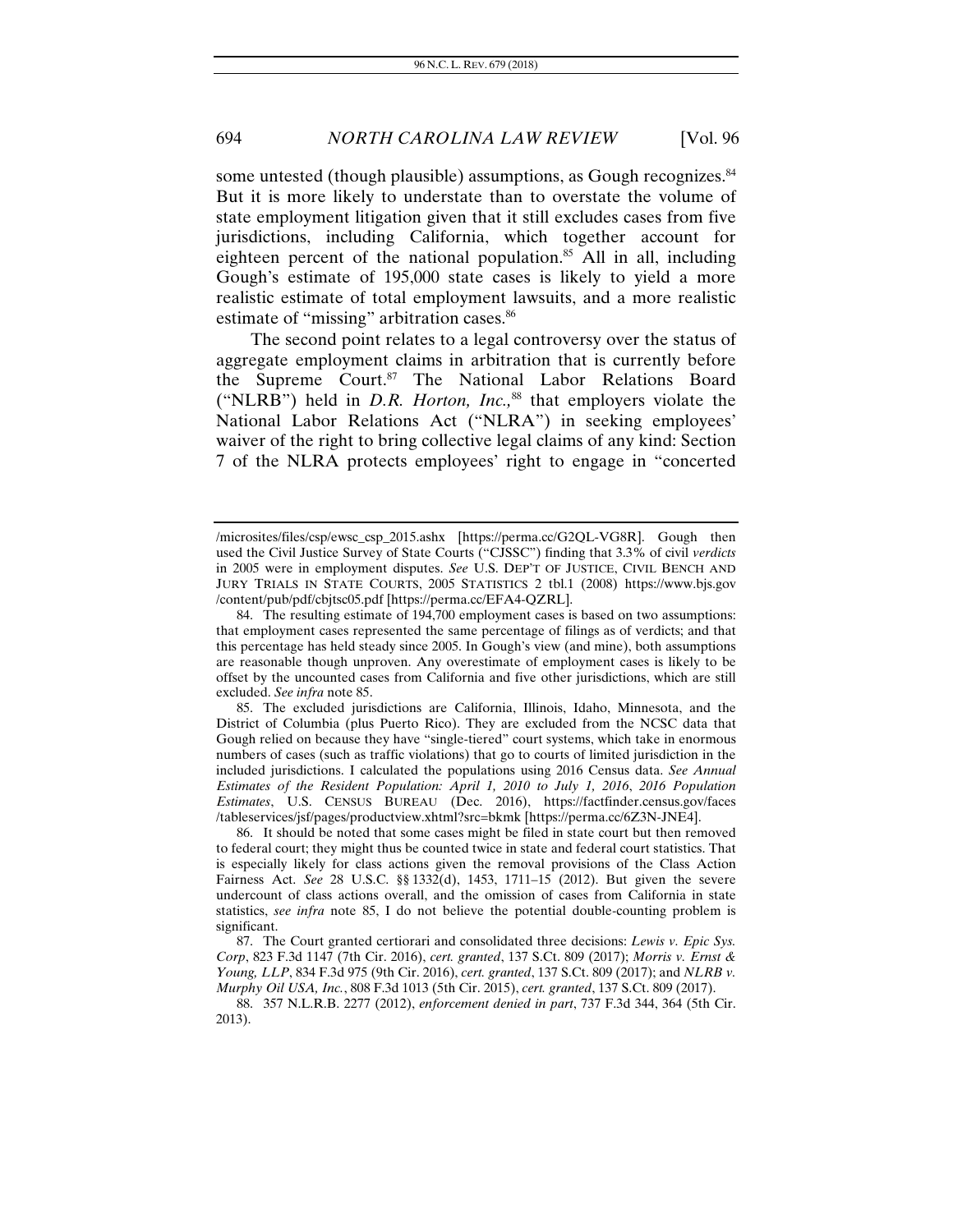some untested (though plausible) assumptions, as Gough recognizes.<sup>84</sup> But it is more likely to understate than to overstate the volume of state employment litigation given that it still excludes cases from five jurisdictions, including California, which together account for eighteen percent of the national population.<sup>85</sup> All in all, including Gough's estimate of 195,000 state cases is likely to yield a more realistic estimate of total employment lawsuits, and a more realistic estimate of "missing" arbitration cases.<sup>86</sup>

The second point relates to a legal controversy over the status of aggregate employment claims in arbitration that is currently before the Supreme Court.87 The National Labor Relations Board ("NLRB") held in *D.R. Horton, Inc.,*88 that employers violate the National Labor Relations Act ("NLRA") in seeking employees' waiver of the right to bring collective legal claims of any kind: Section 7 of the NLRA protects employees' right to engage in "concerted

<sup>/</sup>microsites/files/csp/ewsc\_csp\_2015.ashx [https://perma.cc/G2QL-VG8R]. Gough then used the Civil Justice Survey of State Courts ("CJSSC") finding that 3.3% of civil *verdicts* in 2005 were in employment disputes. *See* U.S. DEP'T OF JUSTICE, CIVIL BENCH AND JURY TRIALS IN STATE COURTS, 2005 STATISTICS 2 tbl.1 (2008) https://www.bjs.gov /content/pub/pdf/cbjtsc05.pdf [https://perma.cc/EFA4-QZRL].

 <sup>84.</sup> The resulting estimate of 194,700 employment cases is based on two assumptions: that employment cases represented the same percentage of filings as of verdicts; and that this percentage has held steady since 2005. In Gough's view (and mine), both assumptions are reasonable though unproven. Any overestimate of employment cases is likely to be offset by the uncounted cases from California and five other jurisdictions, which are still excluded. *See infra* note 85.

 <sup>85.</sup> The excluded jurisdictions are California, Illinois, Idaho, Minnesota, and the District of Columbia (plus Puerto Rico). They are excluded from the NCSC data that Gough relied on because they have "single-tiered" court systems, which take in enormous numbers of cases (such as traffic violations) that go to courts of limited jurisdiction in the included jurisdictions. I calculated the populations using 2016 Census data. *See Annual Estimates of the Resident Population: April 1, 2010 to July 1, 2016*, *2016 Population Estimates*, U.S. CENSUS BUREAU (Dec. 2016), https://factfinder.census.gov/faces /tableservices/jsf/pages/productview.xhtml?src=bkmk [https://perma.cc/6Z3N-JNE4].

 <sup>86.</sup> It should be noted that some cases might be filed in state court but then removed to federal court; they might thus be counted twice in state and federal court statistics. That is especially likely for class actions given the removal provisions of the Class Action Fairness Act. *See* 28 U.S.C. §§ 1332(d), 1453, 1711–15 (2012). But given the severe undercount of class actions overall, and the omission of cases from California in state statistics, *see infra* note 85, I do not believe the potential double-counting problem is significant.

 <sup>87.</sup> The Court granted certiorari and consolidated three decisions: *Lewis v. Epic Sys. Corp*, 823 F.3d 1147 (7th Cir. 2016), *cert. granted*, 137 S.Ct. 809 (2017); *Morris v. Ernst & Young, LLP*, 834 F.3d 975 (9th Cir. 2016), *cert. granted*, 137 S.Ct. 809 (2017); and *NLRB v. Murphy Oil USA, Inc.*, 808 F.3d 1013 (5th Cir. 2015), *cert. granted*, 137 S.Ct. 809 (2017).

 <sup>88. 357</sup> N.L.R.B. 2277 (2012), *enforcement denied in part*, 737 F.3d 344, 364 (5th Cir. 2013).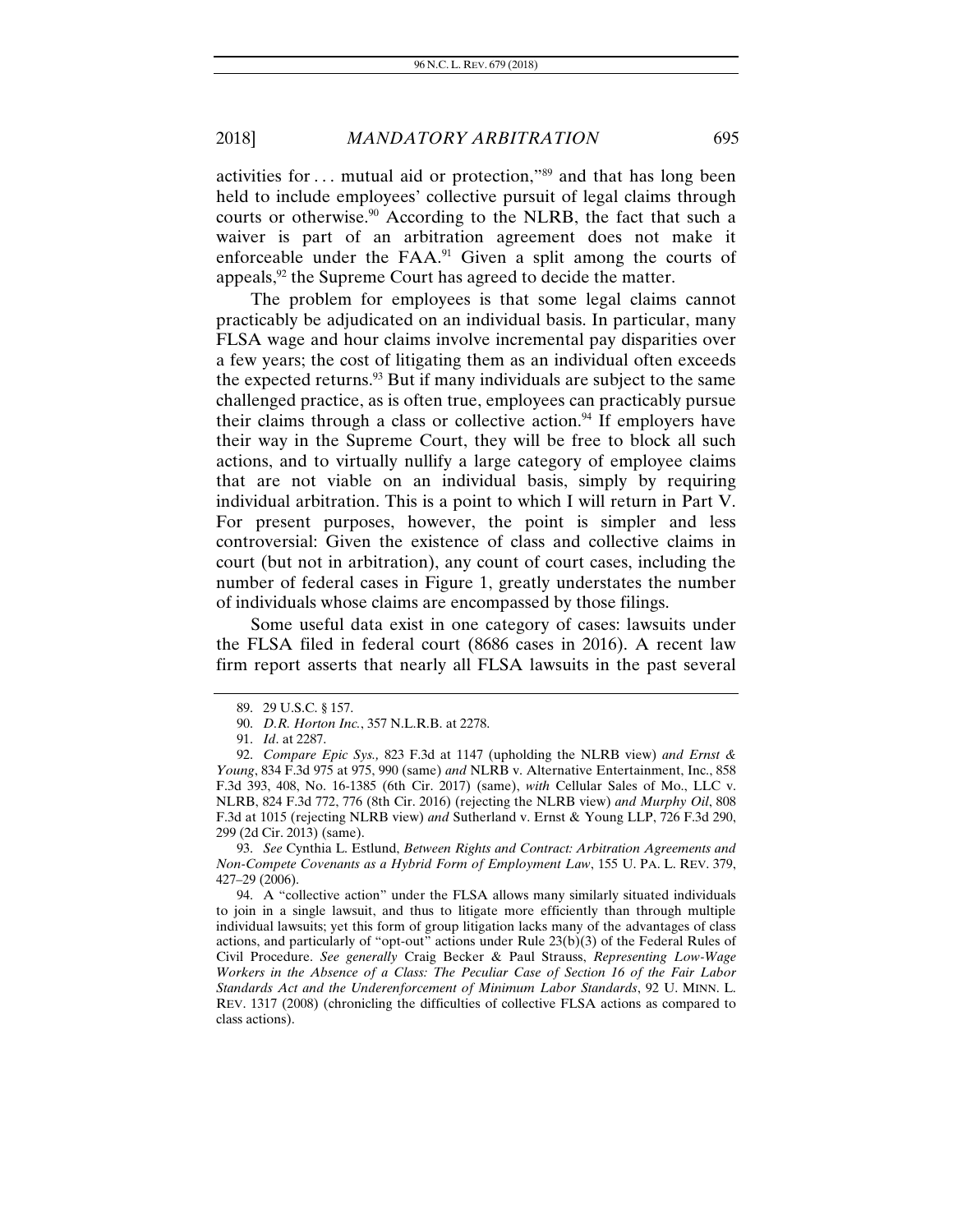activities for  $\dots$  mutual aid or protection,"<sup>89</sup> and that has long been held to include employees' collective pursuit of legal claims through courts or otherwise.<sup>90</sup> According to the NLRB, the fact that such a waiver is part of an arbitration agreement does not make it enforceable under the  $FAA$ .<sup>91</sup> Given a split among the courts of appeals,<sup>92</sup> the Supreme Court has agreed to decide the matter.

The problem for employees is that some legal claims cannot practicably be adjudicated on an individual basis. In particular, many FLSA wage and hour claims involve incremental pay disparities over a few years; the cost of litigating them as an individual often exceeds the expected returns. $93$  But if many individuals are subject to the same challenged practice, as is often true, employees can practicably pursue their claims through a class or collective action.<sup>94</sup> If employers have their way in the Supreme Court, they will be free to block all such actions, and to virtually nullify a large category of employee claims that are not viable on an individual basis, simply by requiring individual arbitration. This is a point to which I will return in Part V. For present purposes, however, the point is simpler and less controversial: Given the existence of class and collective claims in court (but not in arbitration), any count of court cases, including the number of federal cases in Figure 1, greatly understates the number of individuals whose claims are encompassed by those filings.

Some useful data exist in one category of cases: lawsuits under the FLSA filed in federal court (8686 cases in 2016). A recent law firm report asserts that nearly all FLSA lawsuits in the past several

93. *See* Cynthia L. Estlund, *Between Rights and Contract: Arbitration Agreements and Non-Compete Covenants as a Hybrid Form of Employment Law*, 155 U. PA. L. REV. 379, 427–29 (2006).

 94. A "collective action" under the FLSA allows many similarly situated individuals to join in a single lawsuit, and thus to litigate more efficiently than through multiple individual lawsuits; yet this form of group litigation lacks many of the advantages of class actions, and particularly of "opt-out" actions under Rule 23(b)(3) of the Federal Rules of Civil Procedure. *See generally* Craig Becker & Paul Strauss, *Representing Low-Wage Workers in the Absence of a Class: The Peculiar Case of Section 16 of the Fair Labor Standards Act and the Underenforcement of Minimum Labor Standards*, 92 U. MINN. L. REV. 1317 (2008) (chronicling the difficulties of collective FLSA actions as compared to class actions).

 <sup>89. 29</sup> U.S.C. § 157.

 <sup>90.</sup> *D.R. Horton Inc.*, 357 N.L.R.B. at 2278.

<sup>91.</sup> *Id*. at 2287.

 <sup>92.</sup> *Compare Epic Sys.,* 823 F.3d at 1147 (upholding the NLRB view) *and Ernst & Young*, 834 F.3d 975 at 975, 990 (same) *and* NLRB v. Alternative Entertainment, Inc., 858 F.3d 393, 408, No. 16-1385 (6th Cir. 2017) (same), *with* Cellular Sales of Mo., LLC v. NLRB, 824 F.3d 772, 776 (8th Cir. 2016) (rejecting the NLRB view) *and Murphy Oil*, 808 F.3d at 1015 (rejecting NLRB view) *and* Sutherland v. Ernst & Young LLP, 726 F.3d 290, 299 (2d Cir. 2013) (same).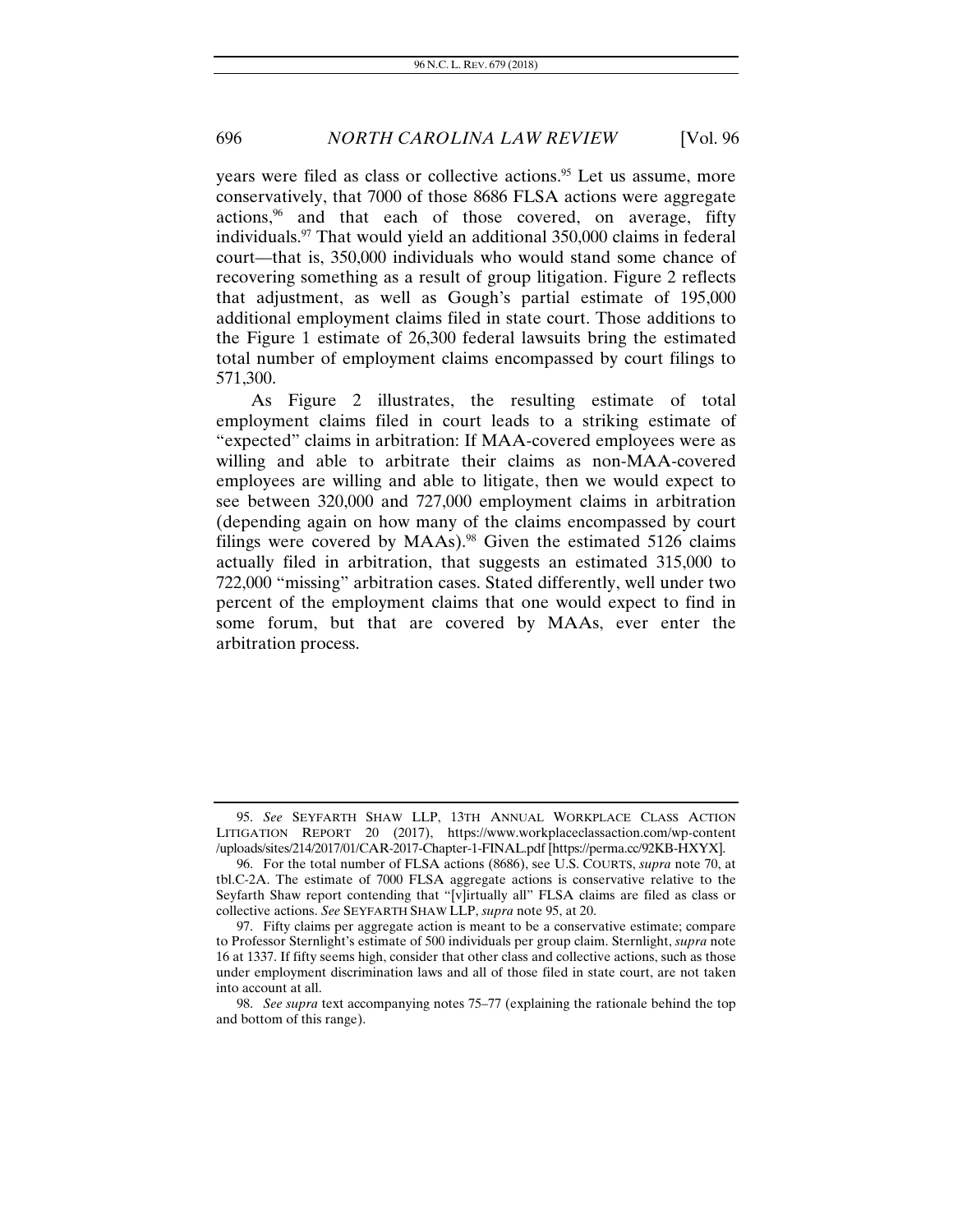years were filed as class or collective actions.<sup>95</sup> Let us assume, more conservatively, that 7000 of those 8686 FLSA actions were aggregate actions,<sup>96</sup> and that each of those covered, on average, fifty individuals.97 That would yield an additional 350,000 claims in federal court—that is, 350,000 individuals who would stand some chance of recovering something as a result of group litigation. Figure 2 reflects that adjustment, as well as Gough's partial estimate of 195,000 additional employment claims filed in state court. Those additions to the Figure 1 estimate of 26,300 federal lawsuits bring the estimated total number of employment claims encompassed by court filings to 571,300.

As Figure 2 illustrates, the resulting estimate of total employment claims filed in court leads to a striking estimate of "expected" claims in arbitration: If MAA-covered employees were as willing and able to arbitrate their claims as non-MAA-covered employees are willing and able to litigate, then we would expect to see between 320,000 and 727,000 employment claims in arbitration (depending again on how many of the claims encompassed by court filings were covered by  $MAAs$ ).<sup>98</sup> Given the estimated 5126 claims actually filed in arbitration, that suggests an estimated 315,000 to 722,000 "missing" arbitration cases. Stated differently, well under two percent of the employment claims that one would expect to find in some forum, but that are covered by MAAs, ever enter the arbitration process.

<sup>95.</sup> *See* SEYFARTH SHAW LLP, 13TH ANNUAL WORKPLACE CLASS ACTION LITIGATION REPORT 20 (2017), https://www.workplaceclassaction.com/wp-content /uploads/sites/214/2017/01/CAR-2017-Chapter-1-FINAL.pdf [https://perma.cc/92KB-HXYX].

 <sup>96.</sup> For the total number of FLSA actions (8686), see U.S. COURTS, *supra* note 70, at tbl.C-2A. The estimate of 7000 FLSA aggregate actions is conservative relative to the Seyfarth Shaw report contending that "[v]irtually all" FLSA claims are filed as class or collective actions. *See* SEYFARTH SHAW LLP, *supra* note 95, at 20.

 <sup>97.</sup> Fifty claims per aggregate action is meant to be a conservative estimate; compare to Professor Sternlight's estimate of 500 individuals per group claim. Sternlight, *supra* note 16 at 1337. If fifty seems high, consider that other class and collective actions, such as those under employment discrimination laws and all of those filed in state court, are not taken into account at all.

<sup>98.</sup> *See supra* text accompanying notes 75–77 (explaining the rationale behind the top and bottom of this range).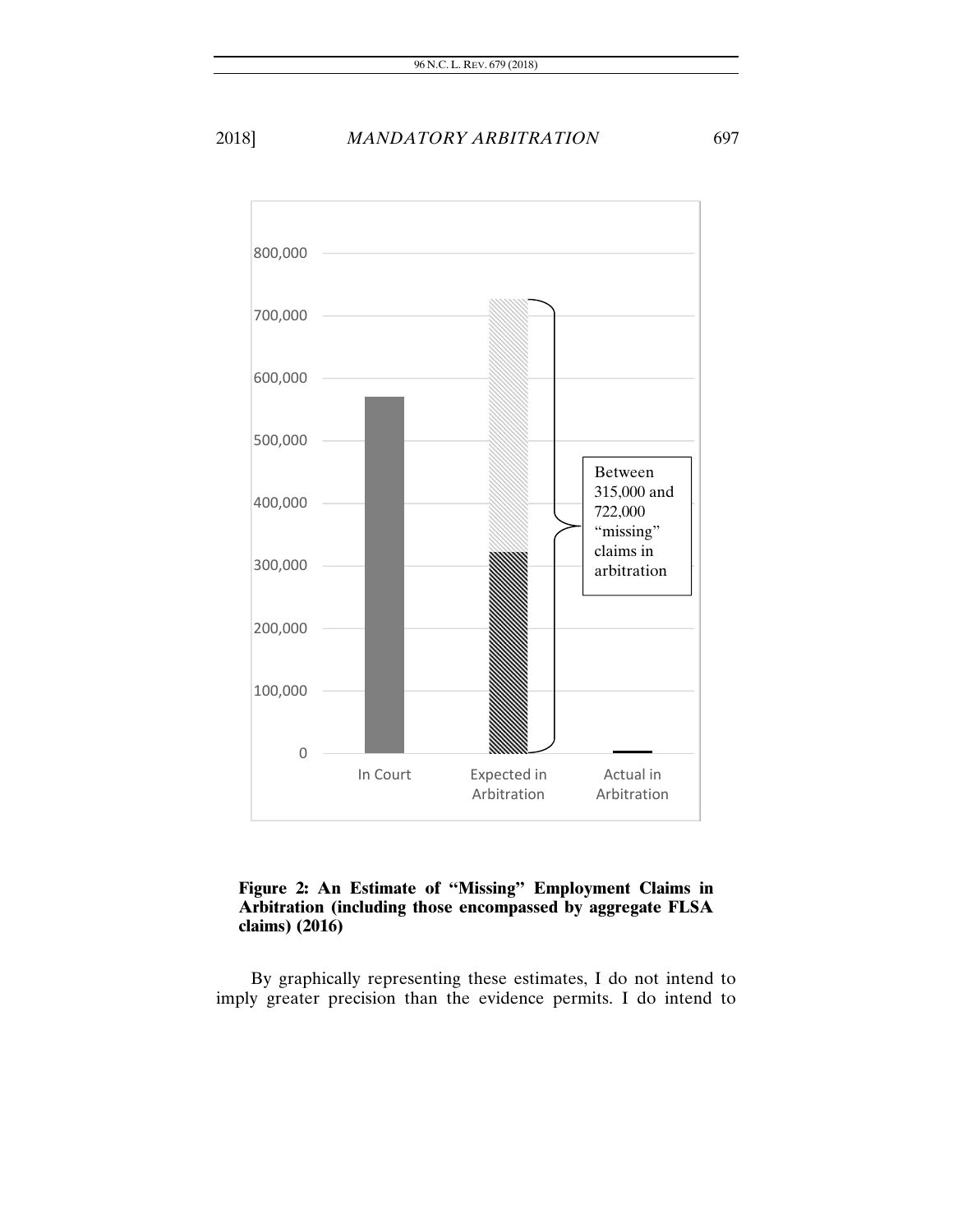

#### **Figure 2: An Estimate of "Missing" Employment Claims in Arbitration (including those encompassed by aggregate FLSA claims) (2016)**

By graphically representing these estimates, I do not intend to imply greater precision than the evidence permits. I do intend to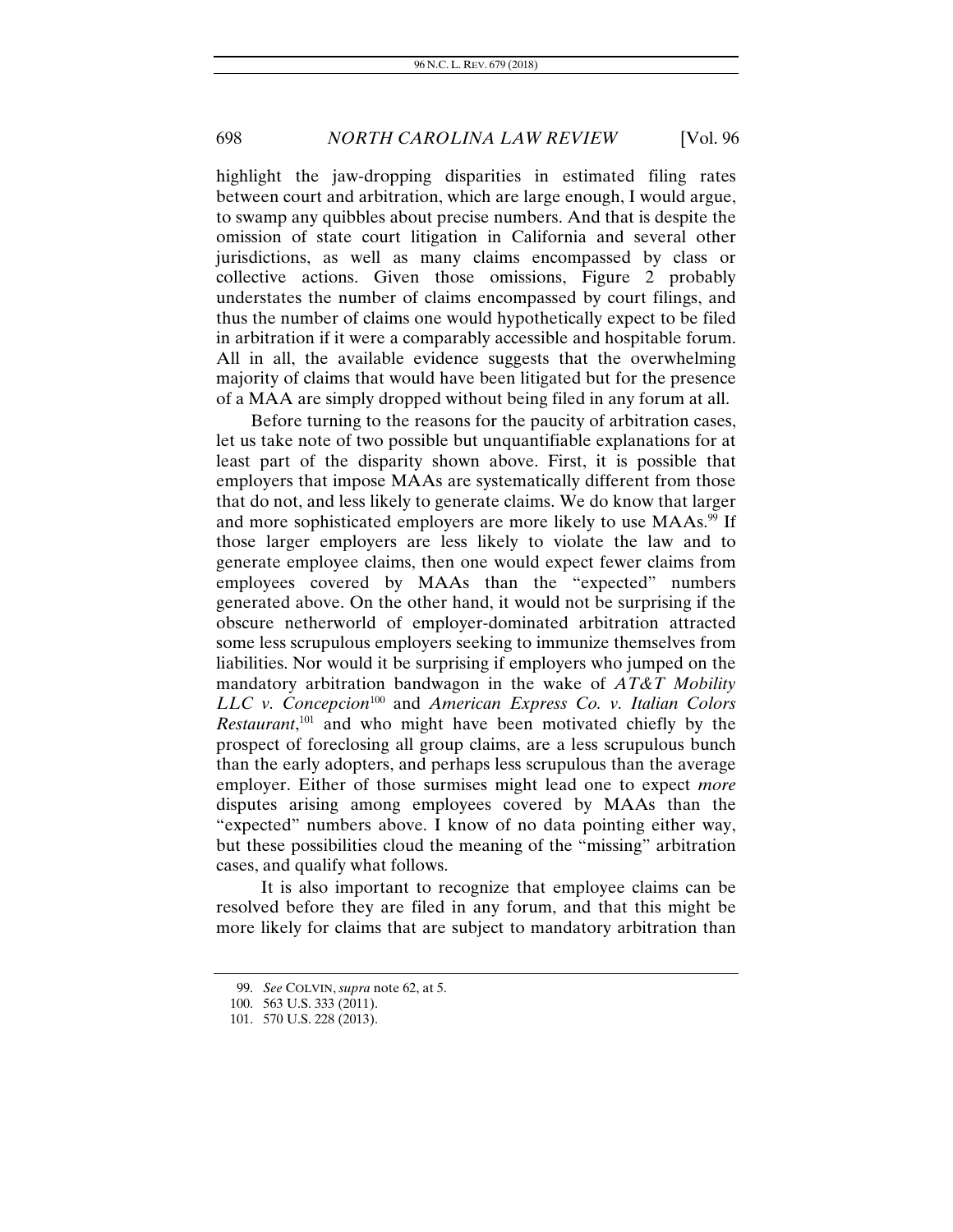highlight the jaw-dropping disparities in estimated filing rates between court and arbitration, which are large enough, I would argue, to swamp any quibbles about precise numbers. And that is despite the omission of state court litigation in California and several other jurisdictions, as well as many claims encompassed by class or collective actions. Given those omissions, Figure 2 probably understates the number of claims encompassed by court filings, and thus the number of claims one would hypothetically expect to be filed in arbitration if it were a comparably accessible and hospitable forum. All in all, the available evidence suggests that the overwhelming majority of claims that would have been litigated but for the presence of a MAA are simply dropped without being filed in any forum at all.

Before turning to the reasons for the paucity of arbitration cases, let us take note of two possible but unquantifiable explanations for at least part of the disparity shown above. First, it is possible that employers that impose MAAs are systematically different from those that do not, and less likely to generate claims. We do know that larger and more sophisticated employers are more likely to use MAAs.<sup>99</sup> If those larger employers are less likely to violate the law and to generate employee claims, then one would expect fewer claims from employees covered by MAAs than the "expected" numbers generated above. On the other hand, it would not be surprising if the obscure netherworld of employer-dominated arbitration attracted some less scrupulous employers seeking to immunize themselves from liabilities. Nor would it be surprising if employers who jumped on the mandatory arbitration bandwagon in the wake of *AT&T Mobility LLC v. Concepcion*100 and *American Express Co. v. Italian Colors Restaurant*, 101 and who might have been motivated chiefly by the prospect of foreclosing all group claims, are a less scrupulous bunch than the early adopters, and perhaps less scrupulous than the average employer. Either of those surmises might lead one to expect *more* disputes arising among employees covered by MAAs than the "expected" numbers above. I know of no data pointing either way, but these possibilities cloud the meaning of the "missing" arbitration cases, and qualify what follows.

It is also important to recognize that employee claims can be resolved before they are filed in any forum, and that this might be more likely for claims that are subject to mandatory arbitration than

<sup>99.</sup> *See* COLVIN, *supra* note 62, at 5.

 <sup>100. 563</sup> U.S. 333 (2011).

 <sup>101. 570</sup> U.S. 228 (2013).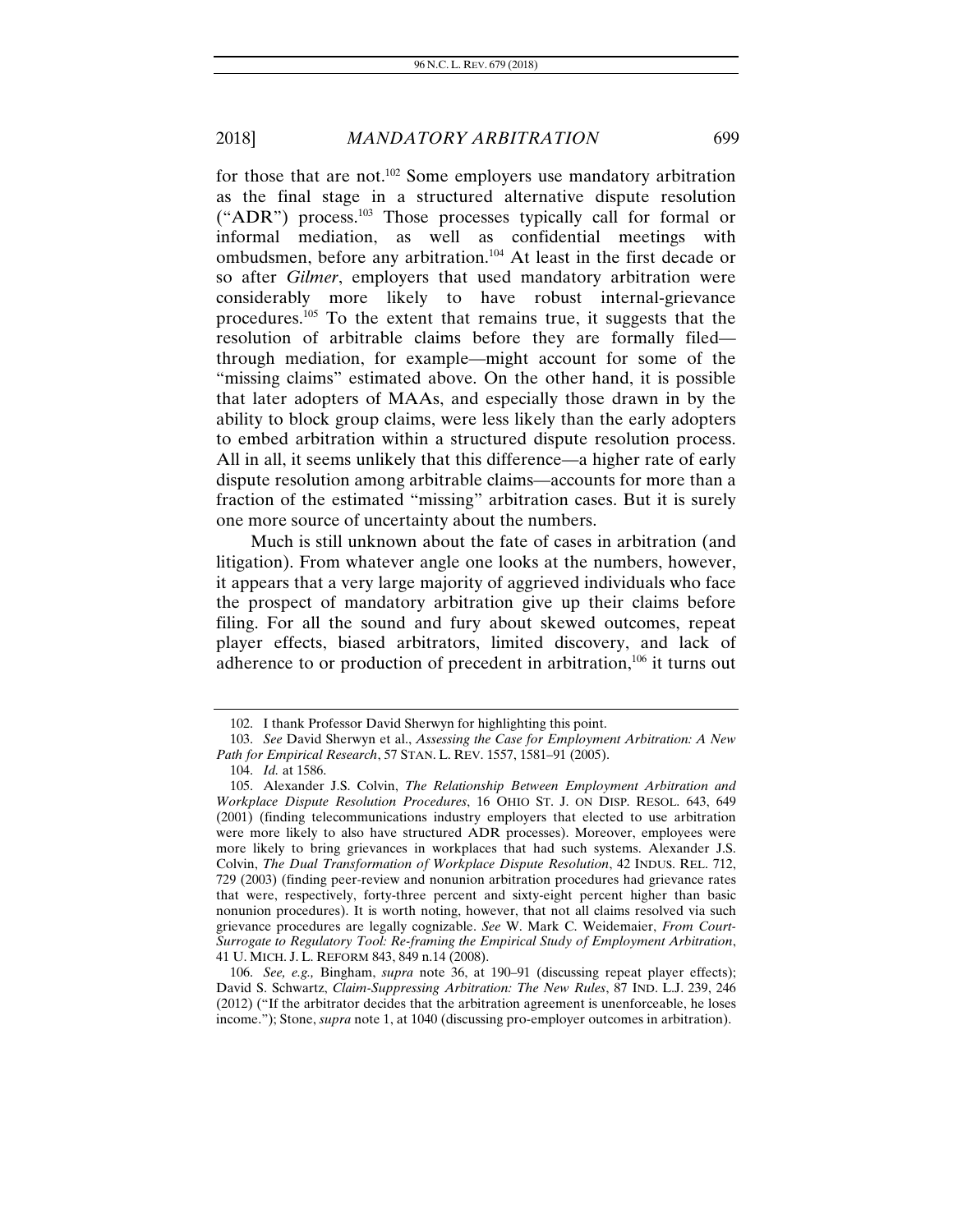for those that are not.<sup>102</sup> Some employers use mandatory arbitration as the final stage in a structured alternative dispute resolution ("ADR") process.<sup>103</sup> Those processes typically call for formal or informal mediation, as well as confidential meetings with ombudsmen, before any arbitration.104 At least in the first decade or so after *Gilmer*, employers that used mandatory arbitration were considerably more likely to have robust internal-grievance procedures.105 To the extent that remains true, it suggests that the resolution of arbitrable claims before they are formally filed through mediation, for example—might account for some of the "missing claims" estimated above. On the other hand, it is possible that later adopters of MAAs, and especially those drawn in by the ability to block group claims, were less likely than the early adopters to embed arbitration within a structured dispute resolution process. All in all, it seems unlikely that this difference—a higher rate of early dispute resolution among arbitrable claims—accounts for more than a fraction of the estimated "missing" arbitration cases. But it is surely one more source of uncertainty about the numbers.

Much is still unknown about the fate of cases in arbitration (and litigation). From whatever angle one looks at the numbers, however, it appears that a very large majority of aggrieved individuals who face the prospect of mandatory arbitration give up their claims before filing. For all the sound and fury about skewed outcomes, repeat player effects, biased arbitrators, limited discovery, and lack of adherence to or production of precedent in arbitration, $106$  it turns out

 <sup>102.</sup> I thank Professor David Sherwyn for highlighting this point.

 <sup>103.</sup> *See* David Sherwyn et al., *Assessing the Case for Employment Arbitration: A New Path for Empirical Research*, 57 STAN. L. REV. 1557, 1581–91 (2005).

 <sup>104.</sup> *Id.* at 1586.

 <sup>105.</sup> Alexander J.S. Colvin, *The Relationship Between Employment Arbitration and Workplace Dispute Resolution Procedures*, 16 OHIO ST. J. ON DISP. RESOL. 643, 649 (2001) (finding telecommunications industry employers that elected to use arbitration were more likely to also have structured ADR processes). Moreover, employees were more likely to bring grievances in workplaces that had such systems. Alexander J.S. Colvin, *The Dual Transformation of Workplace Dispute Resolution*, 42 INDUS. REL. 712, 729 (2003) (finding peer-review and nonunion arbitration procedures had grievance rates that were, respectively, forty-three percent and sixty-eight percent higher than basic nonunion procedures). It is worth noting, however, that not all claims resolved via such grievance procedures are legally cognizable. *See* W. Mark C. Weidemaier, *From Court-Surrogate to Regulatory Tool: Re-framing the Empirical Study of Employment Arbitration*, 41 U. MICH. J. L. REFORM 843, 849 n.14 (2008).

<sup>106.</sup> *See, e.g.,* Bingham, *supra* note 36, at 190–91 (discussing repeat player effects); David S. Schwartz, *Claim-Suppressing Arbitration: The New Rules*, 87 IND. L.J. 239, 246 (2012) ("If the arbitrator decides that the arbitration agreement is unenforceable, he loses income."); Stone, *supra* note 1, at 1040 (discussing pro-employer outcomes in arbitration).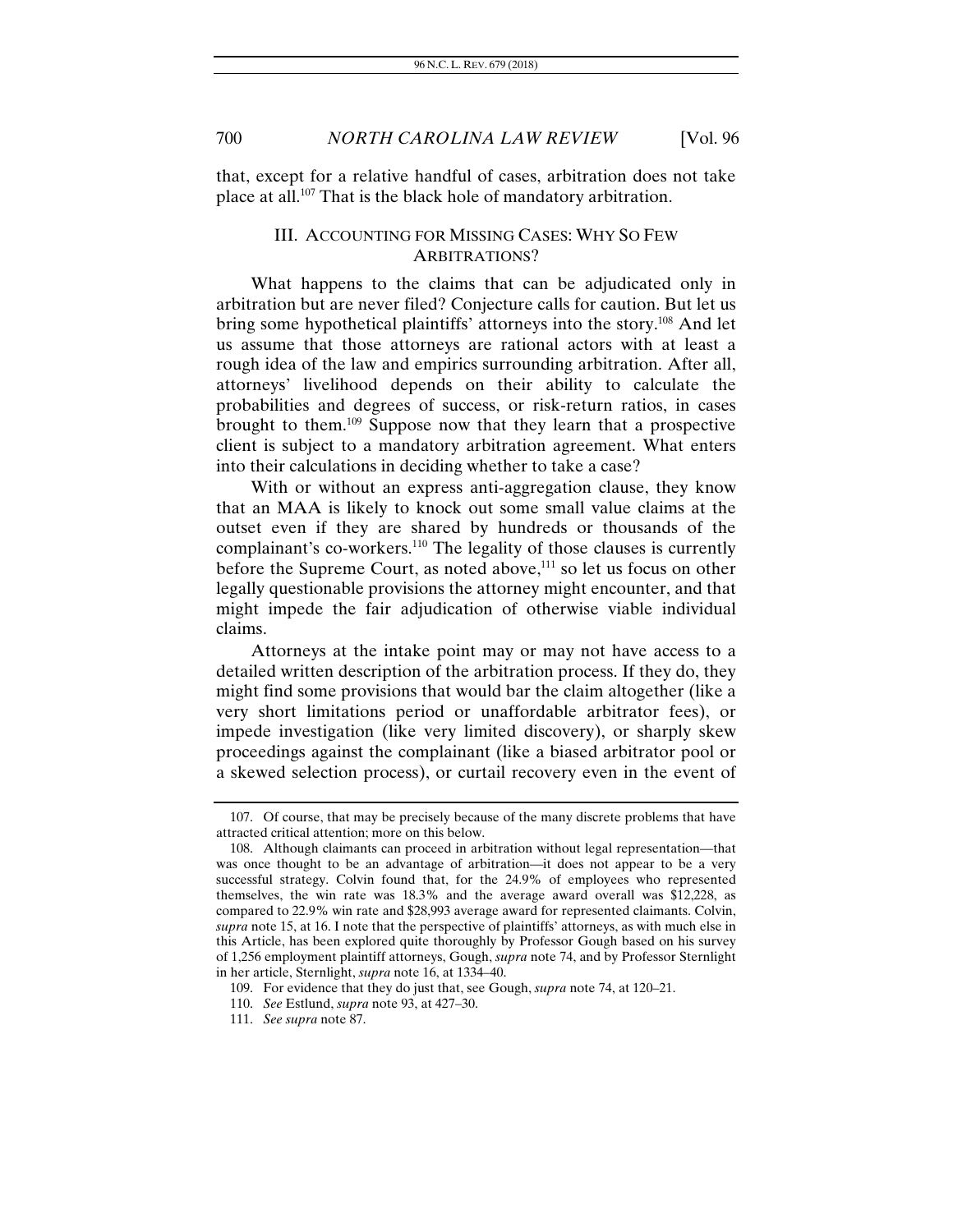that, except for a relative handful of cases, arbitration does not take place at all.107 That is the black hole of mandatory arbitration.

#### III. ACCOUNTING FOR MISSING CASES: WHY SO FEW ARBITRATIONS?

What happens to the claims that can be adjudicated only in arbitration but are never filed? Conjecture calls for caution. But let us bring some hypothetical plaintiffs' attorneys into the story.<sup>108</sup> And let us assume that those attorneys are rational actors with at least a rough idea of the law and empirics surrounding arbitration. After all, attorneys' livelihood depends on their ability to calculate the probabilities and degrees of success, or risk-return ratios, in cases brought to them.109 Suppose now that they learn that a prospective client is subject to a mandatory arbitration agreement. What enters into their calculations in deciding whether to take a case?

With or without an express anti-aggregation clause, they know that an MAA is likely to knock out some small value claims at the outset even if they are shared by hundreds or thousands of the complainant's co-workers.<sup>110</sup> The legality of those clauses is currently before the Supreme Court, as noted above,<sup>111</sup> so let us focus on other legally questionable provisions the attorney might encounter, and that might impede the fair adjudication of otherwise viable individual claims.

Attorneys at the intake point may or may not have access to a detailed written description of the arbitration process. If they do, they might find some provisions that would bar the claim altogether (like a very short limitations period or unaffordable arbitrator fees), or impede investigation (like very limited discovery), or sharply skew proceedings against the complainant (like a biased arbitrator pool or a skewed selection process), or curtail recovery even in the event of

 <sup>107.</sup> Of course, that may be precisely because of the many discrete problems that have attracted critical attention; more on this below.

 <sup>108.</sup> Although claimants can proceed in arbitration without legal representation—that was once thought to be an advantage of arbitration—it does not appear to be a very successful strategy. Colvin found that, for the 24.9% of employees who represented themselves, the win rate was 18.3% and the average award overall was \$12,228, as compared to 22.9% win rate and \$28,993 average award for represented claimants. Colvin, *supra* note 15, at 16. I note that the perspective of plaintiffs' attorneys, as with much else in this Article, has been explored quite thoroughly by Professor Gough based on his survey of 1,256 employment plaintiff attorneys, Gough, *supra* note 74, and by Professor Sternlight in her article, Sternlight, *supra* note 16, at 1334–40.

 <sup>109.</sup> For evidence that they do just that, see Gough, *supra* note 74, at 120–21.

<sup>110.</sup> *See* Estlund, *supra* note 93, at 427–30.

<sup>111.</sup> *See supra* note 87.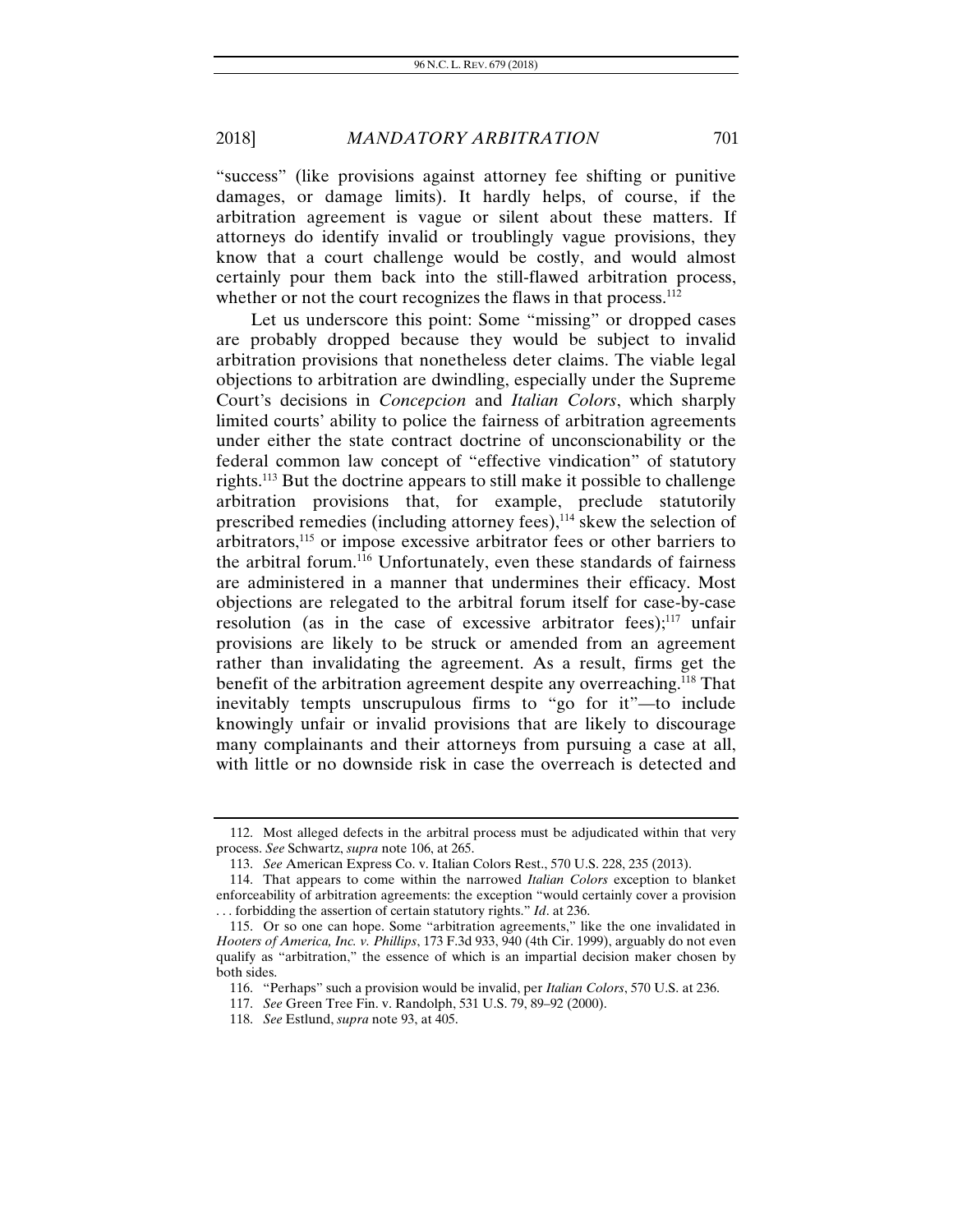"success" (like provisions against attorney fee shifting or punitive damages, or damage limits). It hardly helps, of course, if the arbitration agreement is vague or silent about these matters. If attorneys do identify invalid or troublingly vague provisions, they know that a court challenge would be costly, and would almost certainly pour them back into the still-flawed arbitration process, whether or not the court recognizes the flaws in that process.<sup>112</sup>

Let us underscore this point: Some "missing" or dropped cases are probably dropped because they would be subject to invalid arbitration provisions that nonetheless deter claims. The viable legal objections to arbitration are dwindling, especially under the Supreme Court's decisions in *Concepcion* and *Italian Colors*, which sharply limited courts' ability to police the fairness of arbitration agreements under either the state contract doctrine of unconscionability or the federal common law concept of "effective vindication" of statutory rights.113 But the doctrine appears to still make it possible to challenge arbitration provisions that, for example, preclude statutorily prescribed remedies (including attorney fees),<sup>114</sup> skew the selection of arbitrators,<sup>115</sup> or impose excessive arbitrator fees or other barriers to the arbitral forum.116 Unfortunately, even these standards of fairness are administered in a manner that undermines their efficacy. Most objections are relegated to the arbitral forum itself for case-by-case resolution (as in the case of excessive arbitrator fees); $^{117}$  unfair provisions are likely to be struck or amended from an agreement rather than invalidating the agreement. As a result, firms get the benefit of the arbitration agreement despite any overreaching.<sup>118</sup> That inevitably tempts unscrupulous firms to "go for it"—to include knowingly unfair or invalid provisions that are likely to discourage many complainants and their attorneys from pursuing a case at all, with little or no downside risk in case the overreach is detected and

 <sup>112.</sup> Most alleged defects in the arbitral process must be adjudicated within that very process. *See* Schwartz, *supra* note 106, at 265.

 <sup>113.</sup> *See* American Express Co. v. Italian Colors Rest., 570 U.S. 228, 235 (2013).

 <sup>114.</sup> That appears to come within the narrowed *Italian Colors* exception to blanket enforceability of arbitration agreements: the exception "would certainly cover a provision . . . forbidding the assertion of certain statutory rights." *Id*. at 236.

 <sup>115.</sup> Or so one can hope. Some "arbitration agreements," like the one invalidated in *Hooters of America, Inc. v. Phillips*, 173 F.3d 933, 940 (4th Cir. 1999), arguably do not even qualify as "arbitration," the essence of which is an impartial decision maker chosen by both sides.

 <sup>116. &</sup>quot;Perhaps" such a provision would be invalid, per *Italian Colors*, 570 U.S. at 236.

<sup>117.</sup> *See* Green Tree Fin. v. Randolph, 531 U.S. 79, 89–92 (2000).

<sup>118.</sup> *See* Estlund, *supra* note 93, at 405.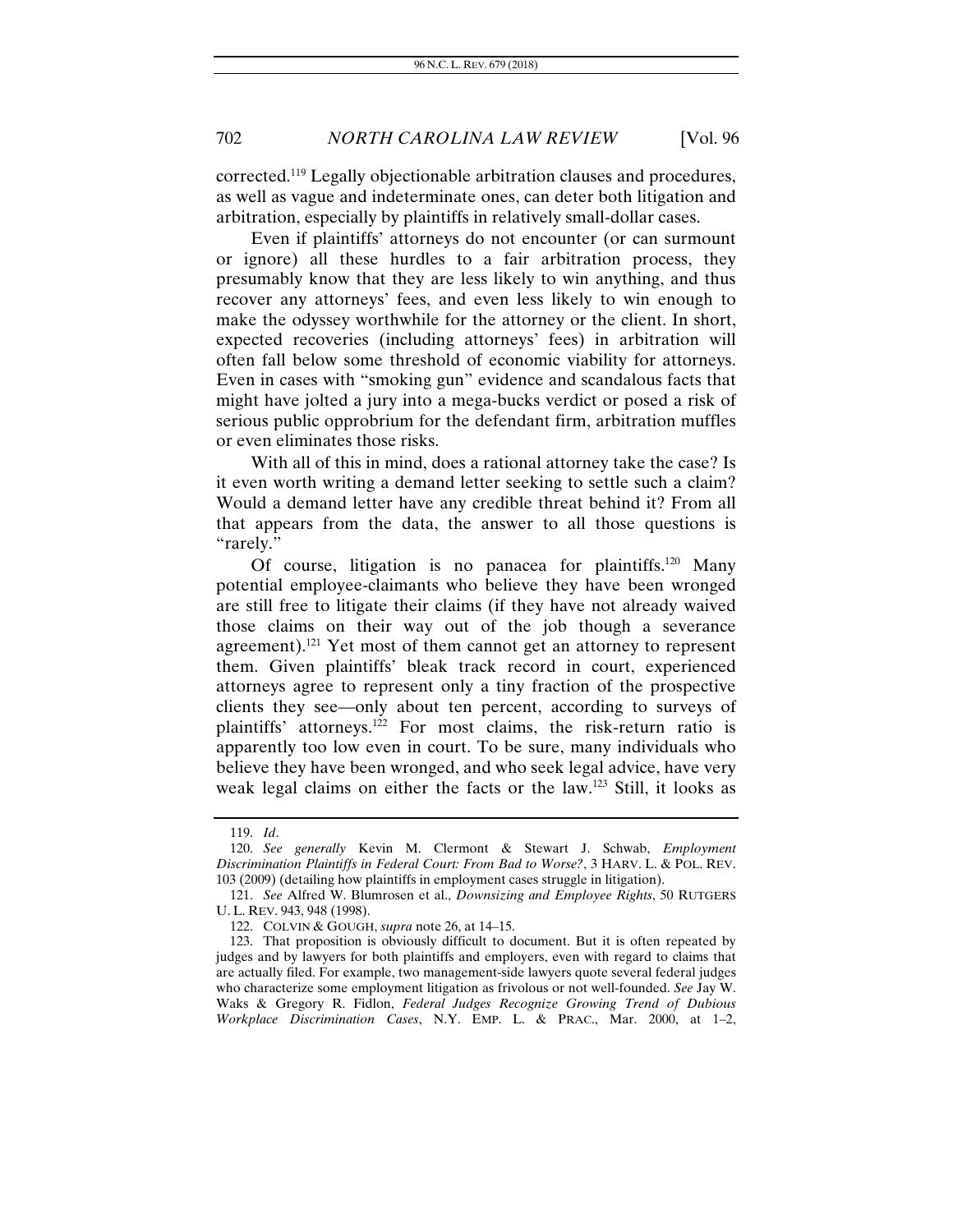corrected.119 Legally objectionable arbitration clauses and procedures, as well as vague and indeterminate ones, can deter both litigation and arbitration, especially by plaintiffs in relatively small-dollar cases.

Even if plaintiffs' attorneys do not encounter (or can surmount or ignore) all these hurdles to a fair arbitration process, they presumably know that they are less likely to win anything, and thus recover any attorneys' fees, and even less likely to win enough to make the odyssey worthwhile for the attorney or the client. In short, expected recoveries (including attorneys' fees) in arbitration will often fall below some threshold of economic viability for attorneys. Even in cases with "smoking gun" evidence and scandalous facts that might have jolted a jury into a mega-bucks verdict or posed a risk of serious public opprobrium for the defendant firm, arbitration muffles or even eliminates those risks.

With all of this in mind, does a rational attorney take the case? Is it even worth writing a demand letter seeking to settle such a claim? Would a demand letter have any credible threat behind it? From all that appears from the data, the answer to all those questions is "rarely."

Of course, litigation is no panacea for plaintiffs.<sup>120</sup> Many potential employee-claimants who believe they have been wronged are still free to litigate their claims (if they have not already waived those claims on their way out of the job though a severance agreement).<sup>121</sup> Yet most of them cannot get an attorney to represent them. Given plaintiffs' bleak track record in court, experienced attorneys agree to represent only a tiny fraction of the prospective clients they see—only about ten percent, according to surveys of plaintiffs' attorneys.122 For most claims, the risk-return ratio is apparently too low even in court. To be sure, many individuals who believe they have been wronged, and who seek legal advice, have very weak legal claims on either the facts or the law.123 Still, it looks as

<sup>119.</sup> *Id*.

 <sup>120.</sup> *See generally* Kevin M. Clermont & Stewart J. Schwab, *Employment Discrimination Plaintiffs in Federal Court: From Bad to Worse?*, 3 HARV. L. & POL. REV. 103 (2009) (detailing how plaintiffs in employment cases struggle in litigation).

<sup>121.</sup> *See* Alfred W. Blumrosen et al., *Downsizing and Employee Rights*, 50 RUTGERS U. L. REV. 943, 948 (1998).

 <sup>122.</sup> COLVIN & GOUGH, *supra* note 26, at 14–15.

 <sup>123.</sup> That proposition is obviously difficult to document. But it is often repeated by judges and by lawyers for both plaintiffs and employers, even with regard to claims that are actually filed. For example, two management-side lawyers quote several federal judges who characterize some employment litigation as frivolous or not well-founded. *See* Jay W. Waks & Gregory R. Fidlon, *Federal Judges Recognize Growing Trend of Dubious Workplace Discrimination Cases*, N.Y. EMP. L. & PRAC., Mar. 2000, at 1–2,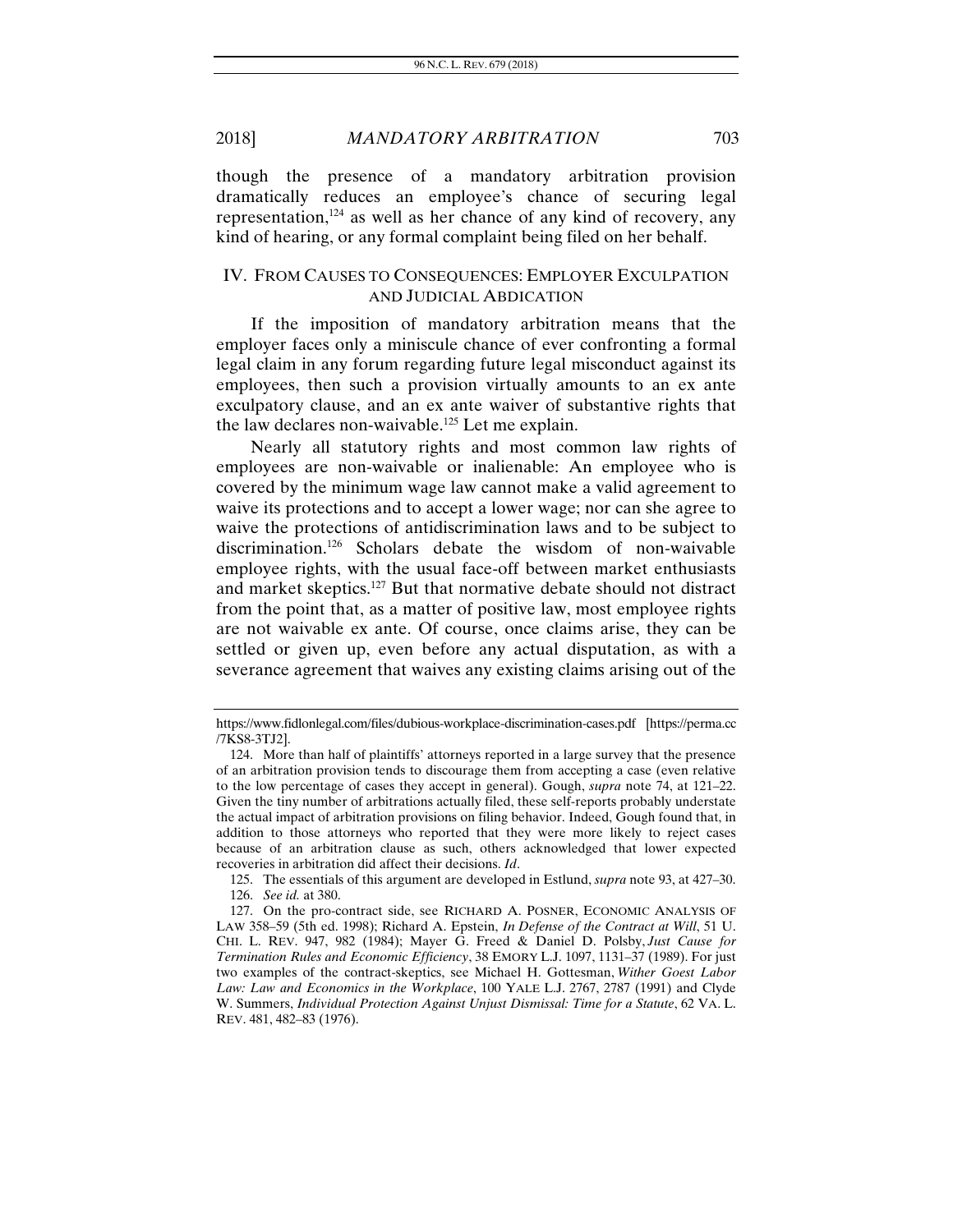though the presence of a mandatory arbitration provision dramatically reduces an employee's chance of securing legal representation, $124$  as well as her chance of any kind of recovery, any kind of hearing, or any formal complaint being filed on her behalf.

#### IV. FROM CAUSES TO CONSEQUENCES: EMPLOYER EXCULPATION AND JUDICIAL ABDICATION

If the imposition of mandatory arbitration means that the employer faces only a miniscule chance of ever confronting a formal legal claim in any forum regarding future legal misconduct against its employees, then such a provision virtually amounts to an ex ante exculpatory clause, and an ex ante waiver of substantive rights that the law declares non-waivable.<sup>125</sup> Let me explain.

Nearly all statutory rights and most common law rights of employees are non-waivable or inalienable: An employee who is covered by the minimum wage law cannot make a valid agreement to waive its protections and to accept a lower wage; nor can she agree to waive the protections of antidiscrimination laws and to be subject to discrimination.126 Scholars debate the wisdom of non-waivable employee rights, with the usual face-off between market enthusiasts and market skeptics.127 But that normative debate should not distract from the point that, as a matter of positive law, most employee rights are not waivable ex ante. Of course, once claims arise, they can be settled or given up, even before any actual disputation, as with a severance agreement that waives any existing claims arising out of the

https://www.fidlonlegal.com/files/dubious-workplace-discrimination-cases.pdf [https://perma.cc /7KS8-3TJ2].

 <sup>124.</sup> More than half of plaintiffs' attorneys reported in a large survey that the presence of an arbitration provision tends to discourage them from accepting a case (even relative to the low percentage of cases they accept in general). Gough, *supra* note 74, at 121–22. Given the tiny number of arbitrations actually filed, these self-reports probably understate the actual impact of arbitration provisions on filing behavior. Indeed, Gough found that, in addition to those attorneys who reported that they were more likely to reject cases because of an arbitration clause as such, others acknowledged that lower expected recoveries in arbitration did affect their decisions. *Id*.

 <sup>125.</sup> The essentials of this argument are developed in Estlund, *supra* note 93, at 427–30. 126. *See id.* at 380.

 <sup>127.</sup> On the pro-contract side, see RICHARD A. POSNER, ECONOMIC ANALYSIS OF LAW 358–59 (5th ed. 1998); Richard A. Epstein, *In Defense of the Contract at Will*, 51 U. CHI. L. REV. 947, 982 (1984); Mayer G. Freed & Daniel D. Polsby, *Just Cause for Termination Rules and Economic Efficiency*, 38 EMORY L.J. 1097, 1131–37 (1989). For just two examples of the contract-skeptics, see Michael H. Gottesman, *Wither Goest Labor Law: Law and Economics in the Workplace*, 100 YALE L.J. 2767, 2787 (1991) and Clyde W. Summers, *Individual Protection Against Unjust Dismissal: Time for a Statute*, 62 VA. L. REV. 481, 482–83 (1976).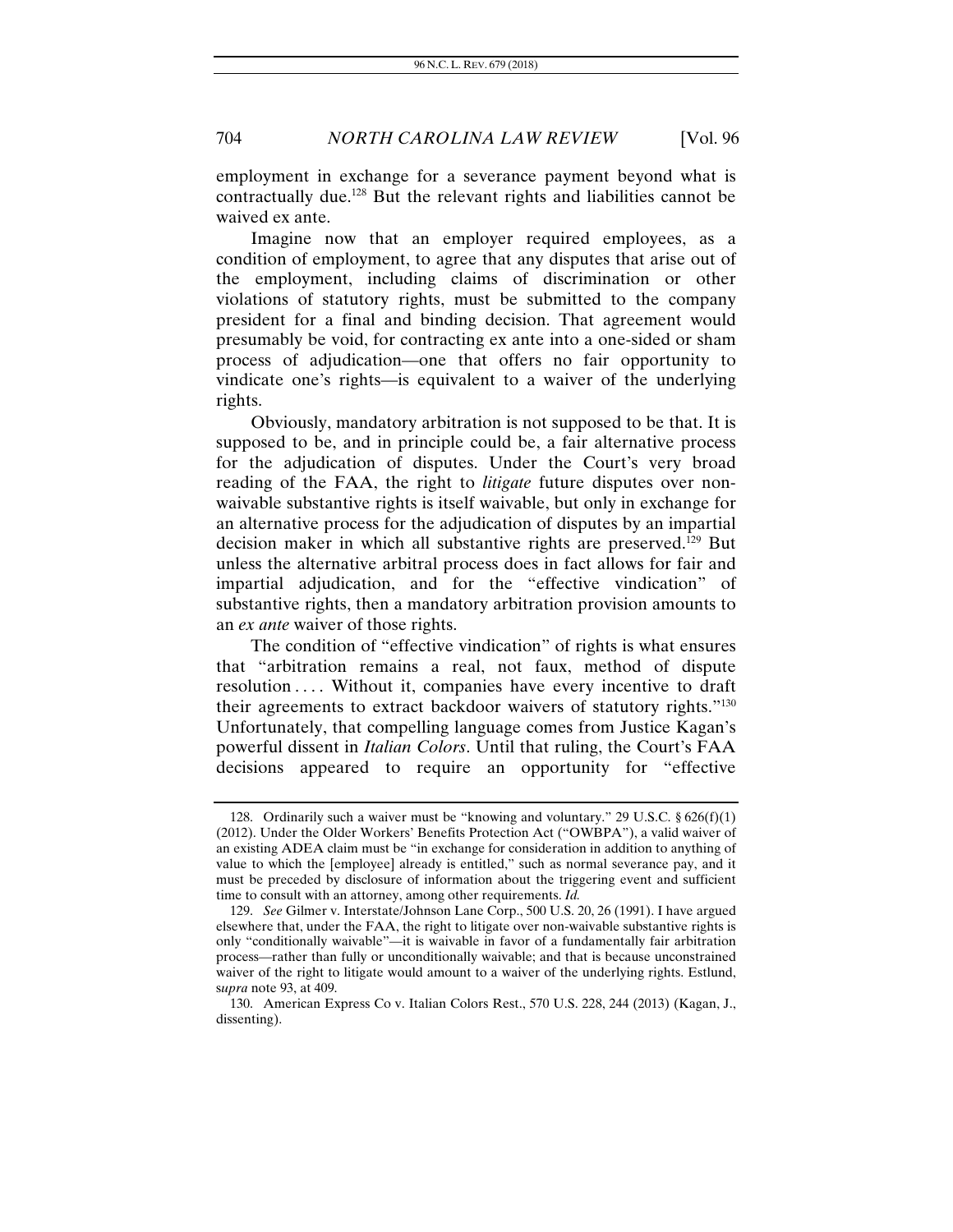employment in exchange for a severance payment beyond what is contractually due.128 But the relevant rights and liabilities cannot be waived ex ante.

Imagine now that an employer required employees, as a condition of employment, to agree that any disputes that arise out of the employment, including claims of discrimination or other violations of statutory rights, must be submitted to the company president for a final and binding decision. That agreement would presumably be void, for contracting ex ante into a one-sided or sham process of adjudication—one that offers no fair opportunity to vindicate one's rights—is equivalent to a waiver of the underlying rights.

Obviously, mandatory arbitration is not supposed to be that. It is supposed to be, and in principle could be, a fair alternative process for the adjudication of disputes. Under the Court's very broad reading of the FAA, the right to *litigate* future disputes over nonwaivable substantive rights is itself waivable, but only in exchange for an alternative process for the adjudication of disputes by an impartial decision maker in which all substantive rights are preserved.129 But unless the alternative arbitral process does in fact allows for fair and impartial adjudication, and for the "effective vindication" of substantive rights, then a mandatory arbitration provision amounts to an *ex ante* waiver of those rights.

The condition of "effective vindication" of rights is what ensures that "arbitration remains a real, not faux, method of dispute resolution .... Without it, companies have every incentive to draft their agreements to extract backdoor waivers of statutory rights."130 Unfortunately, that compelling language comes from Justice Kagan's powerful dissent in *Italian Colors*. Until that ruling, the Court's FAA decisions appeared to require an opportunity for "effective

<sup>128.</sup> Ordinarily such a waiver must be "knowing and voluntary." 29 U.S.C.  $\S 626(f)(1)$ (2012). Under the Older Workers' Benefits Protection Act ("OWBPA"), a valid waiver of an existing ADEA claim must be "in exchange for consideration in addition to anything of value to which the [employee] already is entitled," such as normal severance pay, and it must be preceded by disclosure of information about the triggering event and sufficient time to consult with an attorney, among other requirements. *Id.*

<sup>129.</sup> *See* Gilmer v. Interstate/Johnson Lane Corp., 500 U.S. 20, 26 (1991). I have argued elsewhere that, under the FAA, the right to litigate over non-waivable substantive rights is only "conditionally waivable"—it is waivable in favor of a fundamentally fair arbitration process—rather than fully or unconditionally waivable; and that is because unconstrained waiver of the right to litigate would amount to a waiver of the underlying rights. Estlund, s*upra* note 93, at 409.

 <sup>130.</sup> American Express Co v. Italian Colors Rest., 570 U.S. 228, 244 (2013) (Kagan, J., dissenting).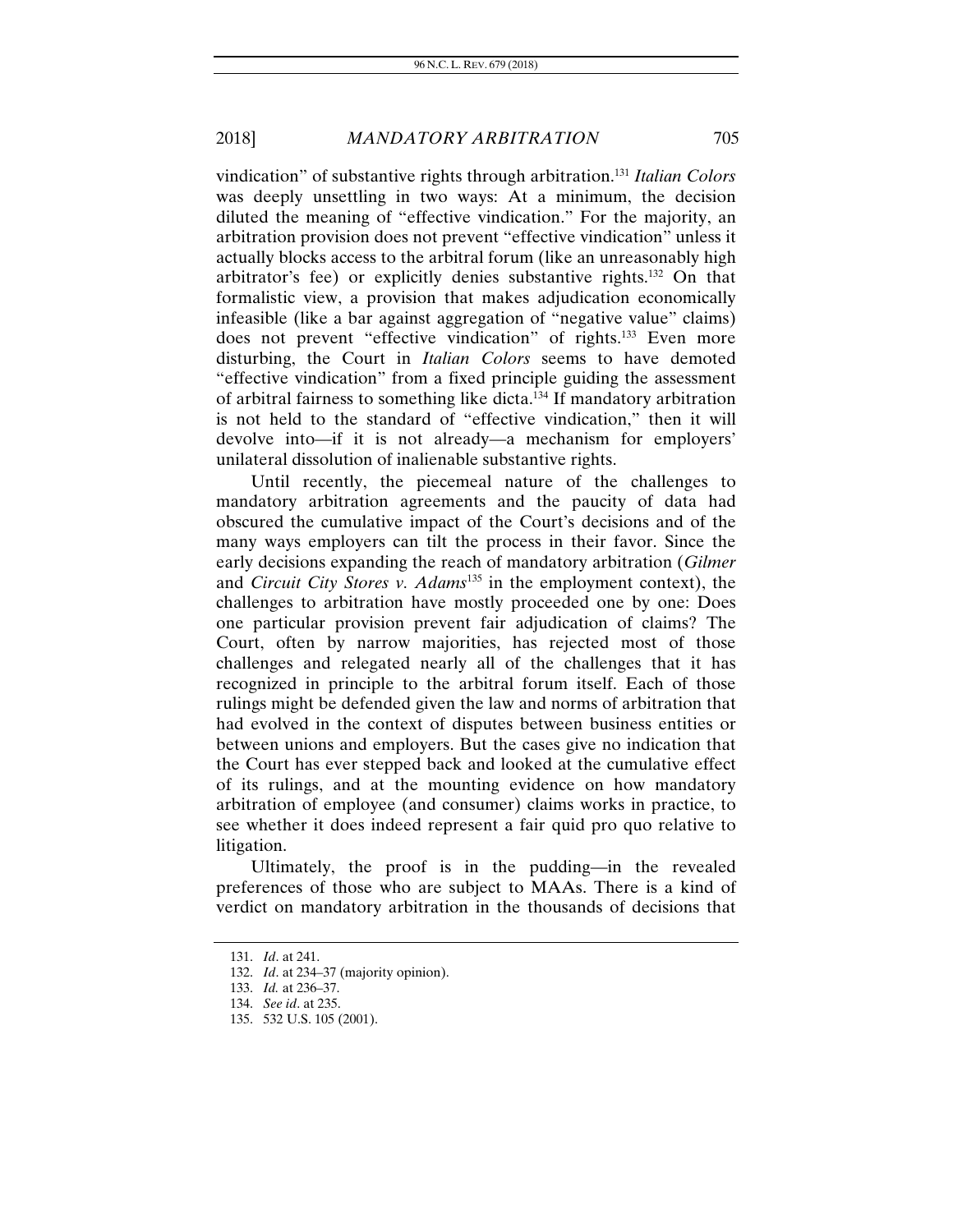vindication" of substantive rights through arbitration.131 *Italian Colors* was deeply unsettling in two ways: At a minimum, the decision diluted the meaning of "effective vindication." For the majority, an arbitration provision does not prevent "effective vindication" unless it actually blocks access to the arbitral forum (like an unreasonably high arbitrator's fee) or explicitly denies substantive rights.132 On that formalistic view, a provision that makes adjudication economically infeasible (like a bar against aggregation of "negative value" claims) does not prevent "effective vindication" of rights.<sup>133</sup> Even more disturbing, the Court in *Italian Colors* seems to have demoted "effective vindication" from a fixed principle guiding the assessment of arbitral fairness to something like dicta.134 If mandatory arbitration is not held to the standard of "effective vindication," then it will devolve into—if it is not already—a mechanism for employers' unilateral dissolution of inalienable substantive rights.

Until recently, the piecemeal nature of the challenges to mandatory arbitration agreements and the paucity of data had obscured the cumulative impact of the Court's decisions and of the many ways employers can tilt the process in their favor. Since the early decisions expanding the reach of mandatory arbitration (*Gilmer* and *Circuit City Stores v. Adams*135 in the employment context), the challenges to arbitration have mostly proceeded one by one: Does one particular provision prevent fair adjudication of claims? The Court, often by narrow majorities, has rejected most of those challenges and relegated nearly all of the challenges that it has recognized in principle to the arbitral forum itself. Each of those rulings might be defended given the law and norms of arbitration that had evolved in the context of disputes between business entities or between unions and employers. But the cases give no indication that the Court has ever stepped back and looked at the cumulative effect of its rulings, and at the mounting evidence on how mandatory arbitration of employee (and consumer) claims works in practice, to see whether it does indeed represent a fair quid pro quo relative to litigation.

Ultimately, the proof is in the pudding—in the revealed preferences of those who are subject to MAAs. There is a kind of verdict on mandatory arbitration in the thousands of decisions that

<sup>131.</sup> *Id*. at 241.

<sup>132.</sup> *Id*. at 234–37 (majority opinion).

<sup>133.</sup> *Id.* at 236–37.

<sup>134.</sup> *See id*. at 235.

 <sup>135. 532</sup> U.S. 105 (2001).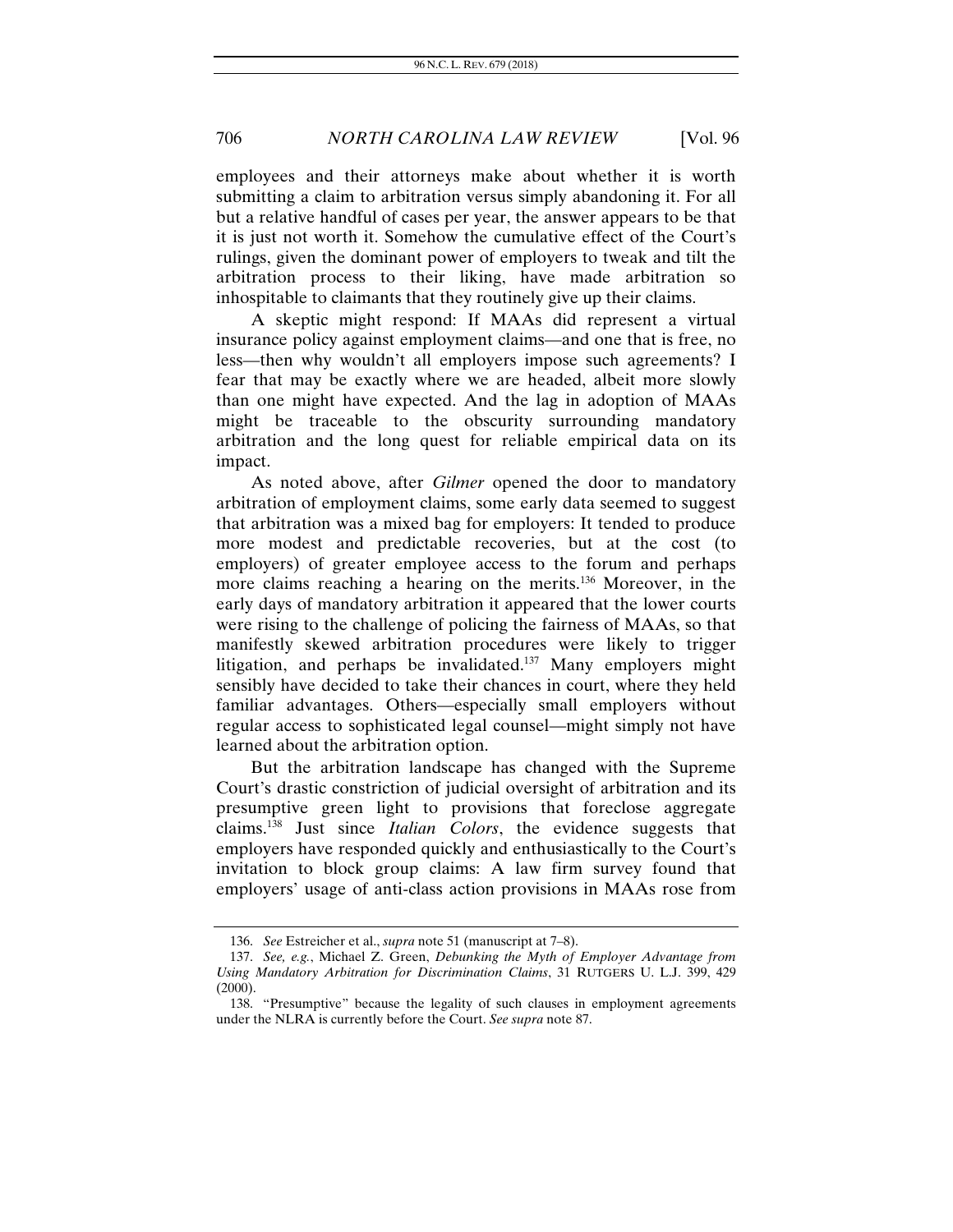employees and their attorneys make about whether it is worth submitting a claim to arbitration versus simply abandoning it. For all but a relative handful of cases per year, the answer appears to be that it is just not worth it. Somehow the cumulative effect of the Court's rulings, given the dominant power of employers to tweak and tilt the arbitration process to their liking, have made arbitration so inhospitable to claimants that they routinely give up their claims.

A skeptic might respond: If MAAs did represent a virtual insurance policy against employment claims—and one that is free, no less—then why wouldn't all employers impose such agreements? I fear that may be exactly where we are headed, albeit more slowly than one might have expected. And the lag in adoption of MAAs might be traceable to the obscurity surrounding mandatory arbitration and the long quest for reliable empirical data on its impact.

As noted above, after *Gilmer* opened the door to mandatory arbitration of employment claims, some early data seemed to suggest that arbitration was a mixed bag for employers: It tended to produce more modest and predictable recoveries, but at the cost (to employers) of greater employee access to the forum and perhaps more claims reaching a hearing on the merits.<sup>136</sup> Moreover, in the early days of mandatory arbitration it appeared that the lower courts were rising to the challenge of policing the fairness of MAAs, so that manifestly skewed arbitration procedures were likely to trigger litigation, and perhaps be invalidated.137 Many employers might sensibly have decided to take their chances in court, where they held familiar advantages. Others—especially small employers without regular access to sophisticated legal counsel—might simply not have learned about the arbitration option.

But the arbitration landscape has changed with the Supreme Court's drastic constriction of judicial oversight of arbitration and its presumptive green light to provisions that foreclose aggregate claims.138 Just since *Italian Colors*, the evidence suggests that employers have responded quickly and enthusiastically to the Court's invitation to block group claims: A law firm survey found that employers' usage of anti-class action provisions in MAAs rose from

<sup>136.</sup> *See* Estreicher et al., *supra* note 51 (manuscript at 7–8).

<sup>137.</sup> *See, e.g.*, Michael Z. Green, *Debunking the Myth of Employer Advantage from Using Mandatory Arbitration for Discrimination Claims*, 31 RUTGERS U. L.J. 399, 429  $(2000).$ 

 <sup>138. &</sup>quot;Presumptive" because the legality of such clauses in employment agreements under the NLRA is currently before the Court. *See supra* note 87.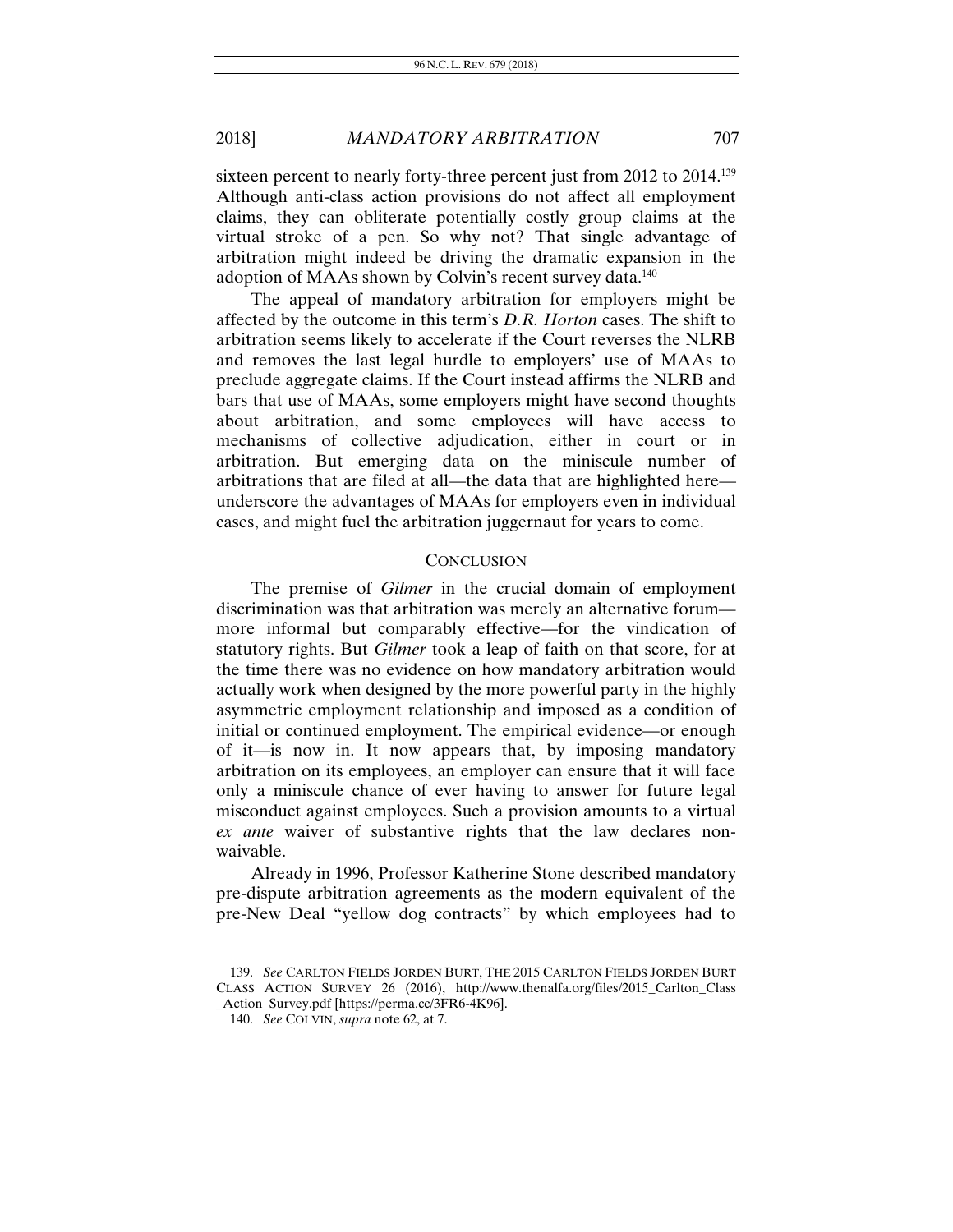sixteen percent to nearly forty-three percent just from 2012 to 2014.<sup>139</sup> Although anti-class action provisions do not affect all employment claims, they can obliterate potentially costly group claims at the virtual stroke of a pen. So why not? That single advantage of arbitration might indeed be driving the dramatic expansion in the adoption of MAAs shown by Colvin's recent survey data.<sup>140</sup>

The appeal of mandatory arbitration for employers might be affected by the outcome in this term's *D.R. Horton* cases. The shift to arbitration seems likely to accelerate if the Court reverses the NLRB and removes the last legal hurdle to employers' use of MAAs to preclude aggregate claims. If the Court instead affirms the NLRB and bars that use of MAAs, some employers might have second thoughts about arbitration, and some employees will have access to mechanisms of collective adjudication, either in court or in arbitration. But emerging data on the miniscule number of arbitrations that are filed at all—the data that are highlighted here underscore the advantages of MAAs for employers even in individual cases, and might fuel the arbitration juggernaut for years to come.

#### **CONCLUSION**

The premise of *Gilmer* in the crucial domain of employment discrimination was that arbitration was merely an alternative forum more informal but comparably effective—for the vindication of statutory rights. But *Gilmer* took a leap of faith on that score, for at the time there was no evidence on how mandatory arbitration would actually work when designed by the more powerful party in the highly asymmetric employment relationship and imposed as a condition of initial or continued employment. The empirical evidence—or enough of it—is now in. It now appears that, by imposing mandatory arbitration on its employees, an employer can ensure that it will face only a miniscule chance of ever having to answer for future legal misconduct against employees. Such a provision amounts to a virtual *ex ante* waiver of substantive rights that the law declares nonwaivable.

Already in 1996, Professor Katherine Stone described mandatory pre-dispute arbitration agreements as the modern equivalent of the pre-New Deal "yellow dog contracts" by which employees had to

<sup>139.</sup> *See* CARLTON FIELDS JORDEN BURT, THE 2015 CARLTON FIELDS JORDEN BURT CLASS ACTION SURVEY 26 (2016), http://www.thenalfa.org/files/2015\_Carlton\_Class \_Action\_Survey.pdf [https://perma.cc/3FR6-4K96].

 <sup>140.</sup> *See* COLVIN, *supra* note 62, at 7.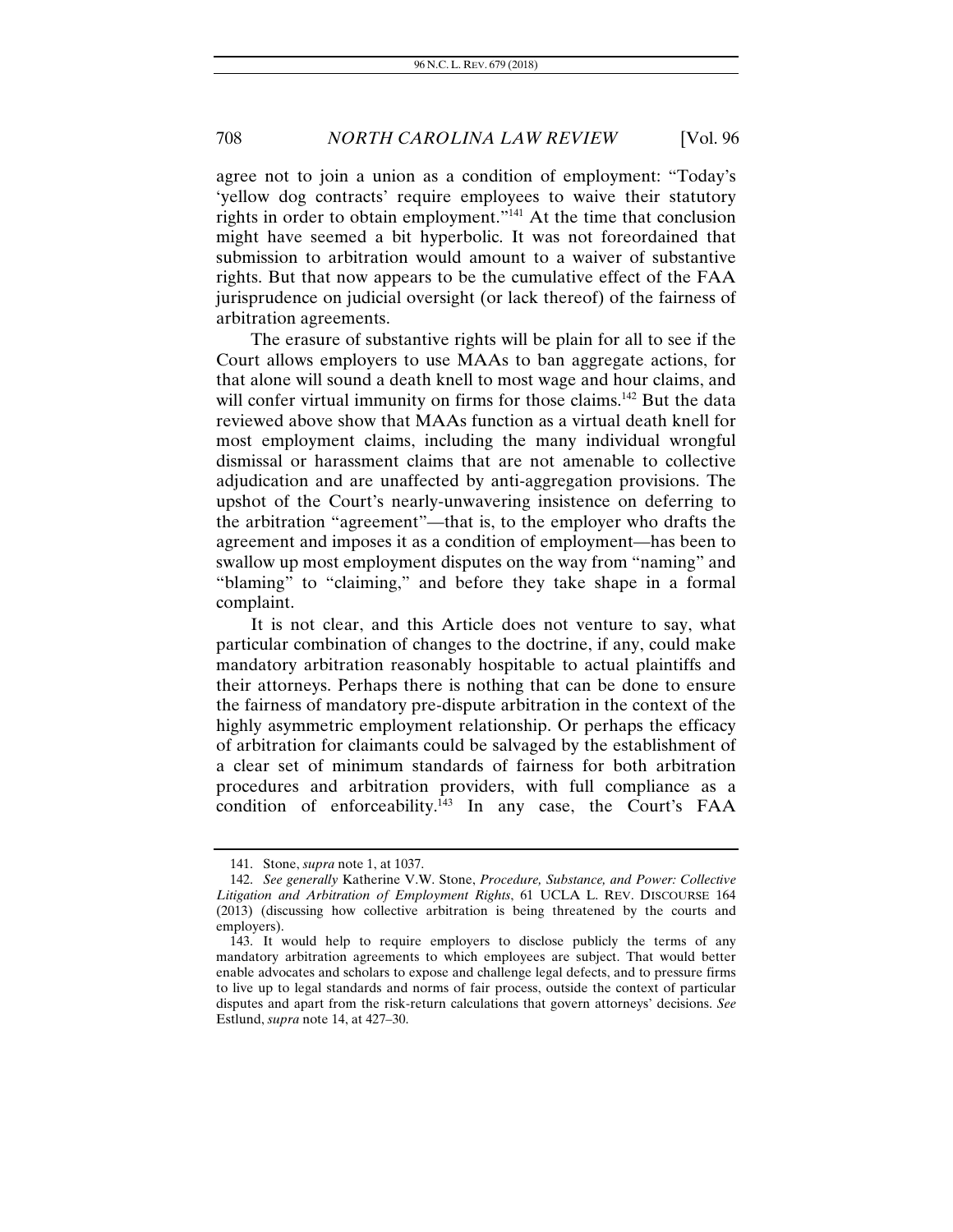agree not to join a union as a condition of employment: "Today's 'yellow dog contracts' require employees to waive their statutory rights in order to obtain employment."141 At the time that conclusion might have seemed a bit hyperbolic. It was not foreordained that submission to arbitration would amount to a waiver of substantive rights. But that now appears to be the cumulative effect of the FAA jurisprudence on judicial oversight (or lack thereof) of the fairness of arbitration agreements.

The erasure of substantive rights will be plain for all to see if the Court allows employers to use MAAs to ban aggregate actions, for that alone will sound a death knell to most wage and hour claims, and will confer virtual immunity on firms for those claims.<sup>142</sup> But the data reviewed above show that MAAs function as a virtual death knell for most employment claims, including the many individual wrongful dismissal or harassment claims that are not amenable to collective adjudication and are unaffected by anti-aggregation provisions. The upshot of the Court's nearly-unwavering insistence on deferring to the arbitration "agreement"—that is, to the employer who drafts the agreement and imposes it as a condition of employment—has been to swallow up most employment disputes on the way from "naming" and "blaming" to "claiming," and before they take shape in a formal complaint.

It is not clear, and this Article does not venture to say, what particular combination of changes to the doctrine, if any, could make mandatory arbitration reasonably hospitable to actual plaintiffs and their attorneys. Perhaps there is nothing that can be done to ensure the fairness of mandatory pre-dispute arbitration in the context of the highly asymmetric employment relationship. Or perhaps the efficacy of arbitration for claimants could be salvaged by the establishment of a clear set of minimum standards of fairness for both arbitration procedures and arbitration providers, with full compliance as a condition of enforceability.143 In any case, the Court's FAA

 <sup>141.</sup> Stone, *supra* note 1, at 1037.

<sup>142.</sup> *See generally* Katherine V.W. Stone, *Procedure, Substance, and Power: Collective Litigation and Arbitration of Employment Rights*, 61 UCLA L. REV. DISCOURSE 164 (2013) (discussing how collective arbitration is being threatened by the courts and employers).

 <sup>143.</sup> It would help to require employers to disclose publicly the terms of any mandatory arbitration agreements to which employees are subject. That would better enable advocates and scholars to expose and challenge legal defects, and to pressure firms to live up to legal standards and norms of fair process, outside the context of particular disputes and apart from the risk-return calculations that govern attorneys' decisions. *See* Estlund, *supra* note 14, at 427–30.